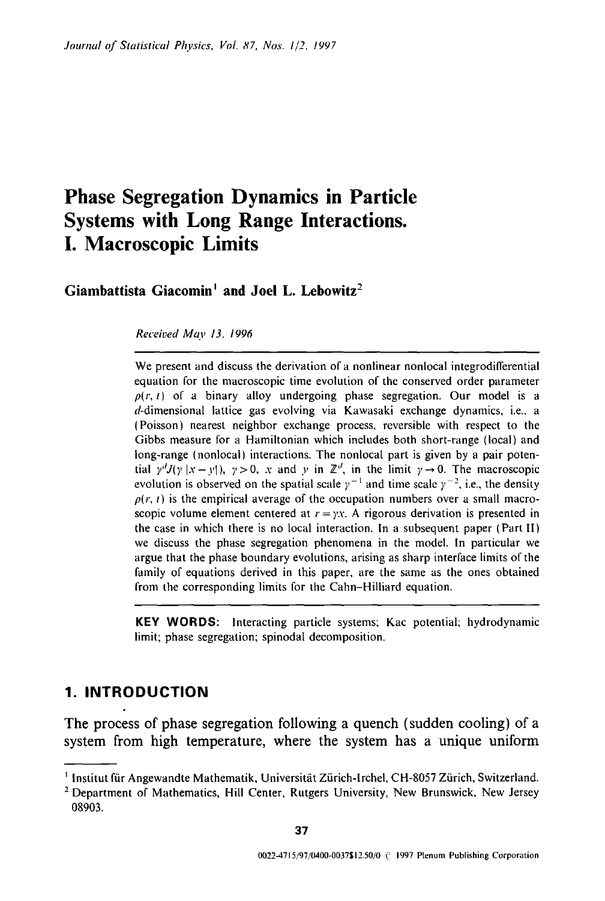# **Phase Segregation Dynamics in Particle Systems with Long Range Interactions. I. Macroscopic Limits**

Giambattista Giacomin<sup>1</sup> and Joel L. Lebowitz<sup>2</sup>

*Received May 13, 1996* 

We present and discuss the derivation of a nonlinear nonlocal integrodifferential equation for the macroscopic time evolution of the conserved order parameter  $p(r, t)$  of a binary alloy undergoing phase segregation. Our model is a d-dimensional lattice gas evolving via Kawasaki exchange dynamics, i.e., a (Poisson) nearest neighbor exchange process, reversible with respect to the Gibbs measure for a Hamiltonian which includes both short-range (local) and long-range (nonlocal) interactions. The nonlocal part is given by a pair potential  $\gamma^{d}J(y|x-y|)$ ,  $\gamma>0$ , x and y in  $\mathbb{Z}^{d}$ , in the limit  $\gamma \rightarrow 0$ . The macroscopic evolution is observed on the spatial scale  $y^{-1}$  and time scale  $y^{-2}$ , i.e., the density  $p(r, t)$  is the empirical average of the occupation numbers over a small macroscopic volume element centered at  $r = yx$ . A rigorous derivation is presented in the case in which there is no local interaction. In a subsequent paper (Part II) we discuss the phase segregation phenomena in the model. In particular we argue that the phase boundary evolutions, arising as sharp interface limits of the family of equations derived in this paper, are the same as the ones obtained from the corresponding limits for the Cahn-Hilliard equation.

KEY WORDS: Interacting particle systems; Kac potential; hydrodynamic limit; phase segregation; spinodal decomposition.

# **1. INTRODUCTION**

The process of phase segregation following a quench (sudden cooling) of a system from high temperature, where the system has a unique uniform

<sup>&</sup>lt;sup>1</sup> Institut für Angewandte Mathematik, Universität Zürich-Irchel, CH-8057 Zürich, Switzerland.

<sup>&</sup>lt;sup>2</sup> Department of Mathematics, Hill Center, Rutgers University, New Brunswick, New Jersey 08903.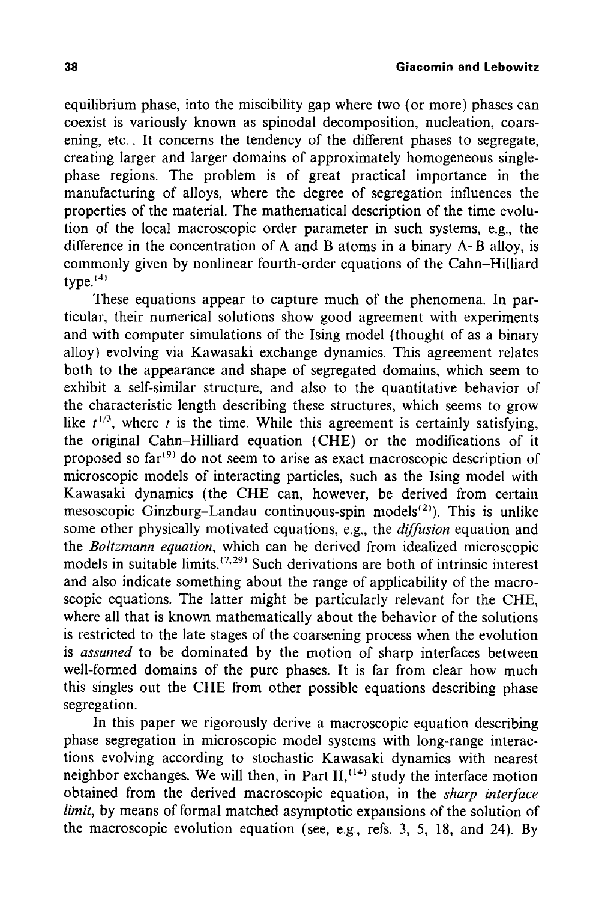equilibrium phase, into the miscibility gap where two (or more) phases can coexist is variously known as spinodal decomposition, nucleation, coarsening, etc.. It concerns the tendency of the different phases to segregate, creating larger and larger domains of approximately homogeneous singlephase regions. The problem is of great practical importance in the manufacturing of alloys, where the degree of segregation influences the properties of the material. The mathematical description of the time evolution of the local macroscopic order parameter in such systems, e.g., the difference in the concentration of A and B atoms in a binary A-B alloy, is commonly given by nonlinear fourth-order equations of the Cahn-Hilliard type. $(4)$ 

These equations appear to capture much of the phenomena. In particular, their numerical solutions show good agreement with experiments and with computer simulations of the Ising model (thought of as a binary alloy) evolving via Kawasaki exchange dynamics. This agreement relates both to the appearance and shape of segregated domains, which seem to exhibit a self-similar structure, and also to the quantitative behavior of the characteristic length describing these structures, which seems to grow like  $t^{1/3}$ , where t is the time. While this agreement is certainly satisfying, the original Cahn-Hilliard equation (CHE) or the modifications of it proposed so  $far^{(9)}$  do not seem to arise as exact macroscopic description of microscopic models of interacting particles, such as the Ising model with Kawasaki dynamics (the CHE can, however, be derived from certain mesoscopic Ginzburg-Landau continuous-spin models $^{(2)}$ ). This is unlike some other physically motivated equations, e.g., the *diffusion* equation and the *Boltzmann equation,* which can be derived from idealized microscopic models in suitable limits.<sup> $(7,29)$ </sup> Such derivations are both of intrinsic interest and also indicate something about the range of applicability of the macroscopic equations. The latter might be particularly relevant for the CHE, where all that is known mathematically about the behavior of the solutions is restricted to the late stages of the coarsening process when the evolution is *assumed* to be dominated by the motion of sharp interfaces between well-formed domains of the pure phases. It is far from clear how much this singles out the CHE from other possible equations describing phase segregation.

In this paper we rigorously derive a macroscopic equation describing phase segregation in microscopic model systems with long-range interactions evolving according to stochastic Kawasaki dynamics with nearest neighbor exchanges. We will then, in Part II,  $(14)$  study the interface motion obtained from the derived macroscopic equation, in the *sharp interface limit,* by means of formal matched asymptotic expansions of the solution of the macroscopic evolution equation (see, e.g., refs. 3, 5, 18, and 24). By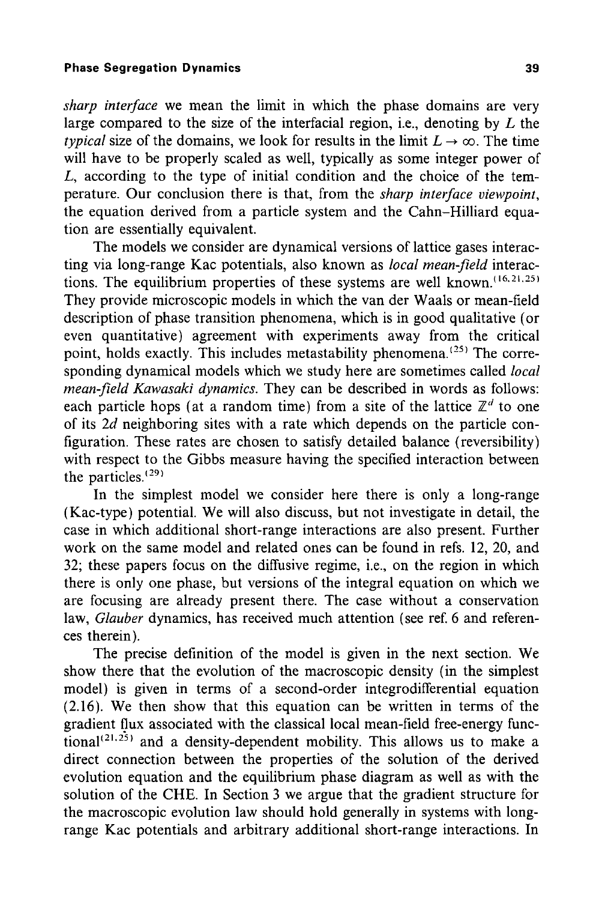*sharp interface* we mean the limit in which the phase domains are very large compared to the size of the interfacial region, i.e., denoting by  $L$  the *typical* size of the domains, we look for results in the limit  $L \rightarrow \infty$ . The time will have to be properly scaled as well, typically as some integer power of L, according to the type of initial condition and the choice of the temperature. Our conclusion there is that, from the *sharp interface viewpoint,*  the equation derived from a particle system and the Cahn-Hilliard equation are essentially equivalent.

The models we consider are dynamical versions of lattice gases interacting via long-range Kac potentials, also known as *local mean-field* interactions. The equilibrium properties of these systems are well known.  $(16, 21, 25)$ They provide microscopic models in which the van der Waals or mean-field description of phase transition phenomena, which is in good qualitative (or even quantitative) agreement with experiments away from the critical point, holds exactly. This includes metastability phenomena.<sup>(25)</sup> The corresponding dynamical models which we study here are sometimes called *local mean-field Kawasaki dynamics.* They can be described in words as follows: each particle hops (at a random time) from a site of the lattice  $\mathbb{Z}^d$  to one of its 2d neighboring sites with a rate which depends on the particle configuration. These rates are chosen to satisfy detailed balance (reversibility) with respect to the Gibbs measure having the specified interaction between the particles. $(29)$ 

In the simplest model we consider here there is only a long-range (Kac-type) potential. We will also discuss, but not investigate in detail, the case in which additional short-range interactions are also present. Further work on the same model and related ones can be found in refs. 12, 20, and 32; these papers focus on the diffusive regime, i.e., on the region in which there is only one phase, but versions of the integral equation on which we are focusing are already present there. The case without a conservation law, *Glauber* dynamics, has received much attention (see ref. 6 and references therein).

The precise definition of the model is given in the next section. We show there that the evolution of the macroscopic density (in the simplest model) is given in terms of a second-order integrodifferential equation (2.16). We then show that this equation can be written in terms of the gradient flux associated with the classical local mean-field free-energy functional<sup>(21,25)</sup> and a density-dependent mobility. This allows us to make a direct connection between the properties of the solution of the derived evolution equation and the equilibrium phase diagram as well as with the solution of the CHE. In Section 3 we argue that the gradient structure for the macroscopic evolution law should hold generally in systems with longrange Kac potentials and arbitrary additional short-range interactions. In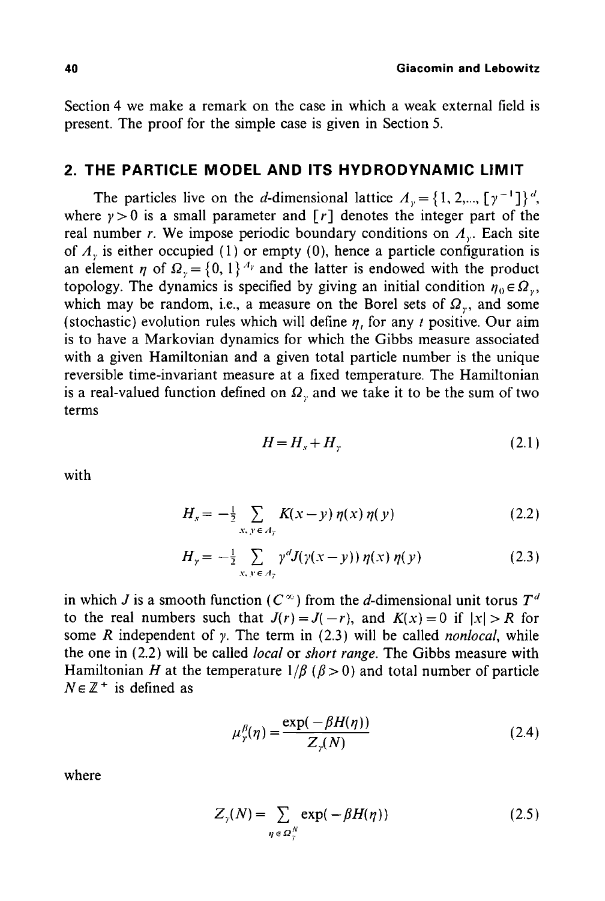Section 4 we make a remark on the case in which a weak external field is present. The proof for the simple case is given in Section 5.

# **2. THE PARTICLE MODEL AND ITS HYDRODYNAMIC LIMIT**

The particles live on the d-dimensional lattice  $A_y = \{1, 2, ..., [y^{-1}]\}^d$ , where  $y > 0$  is a small parameter and  $\lceil r \rceil$  denotes the integer part of the real number r. We impose periodic boundary conditions on  $A<sub>v</sub>$ . Each site of  $\Lambda$ <sub>y</sub> is either occupied (1) or empty (0), hence a particle configuration is an element  $\eta$  of  $\Omega_{y} = \{0, 1\}^{A_y}$  and the latter is endowed with the product topology. The dynamics is specified by giving an initial condition  $\eta_0 \in \Omega_y$ , which may be random, i.e., a measure on the Borel sets of  $\Omega<sub>r</sub>$ , and some (stochastic) evolution rules which will define  $\eta$ , for any t positive. Our aim is to have a Markovian dynamics for which the Gibbs measure associated with a given Hamiltonian and a given total particle number is the unique reversible time-invariant measure at a fixed temperature. The Hamiltonian is a real-valued function defined on  $\Omega_{\nu}$  and we take it to be the sum of two terms

$$
H = H_s + H_v \tag{2.1}
$$

with

$$
H_{s} = -\frac{1}{2} \sum_{x, y \in A_{y}} K(x - y) \eta(x) \eta(y)
$$
 (2.2)

$$
H_{y} = -\frac{1}{2} \sum_{x, y \in A_{y}} \gamma^{d} J(\gamma(x - y)) \eta(x) \eta(y)
$$
 (2.3)

in which J is a smooth function ( $C^{\infty}$ ) from the d-dimensional unit torus  $T^d$ to the real numbers such that  $J(r) = J(-r)$ , and  $K(x) = 0$  if  $|x| > R$  for some  $R$  independent of  $\gamma$ . The term in (2.3) will be called *nonlocal*, while the one in (2.2) will be called *local* or *short range.* The Gibbs measure with Hamiltonian H at the temperature  $1/\beta$  ( $\beta > 0$ ) and total number of particle  $N \in \mathbb{Z}^+$  is defined as

$$
\mu_{\gamma}^{\beta}(\eta) = \frac{\exp(-\beta H(\eta))}{Z_{\gamma}(N)}\tag{2.4}
$$

where

$$
Z_{\gamma}(N) = \sum_{\eta \in \Omega_{\gamma}^{N}} \exp(-\beta H(\eta))
$$
 (2.5)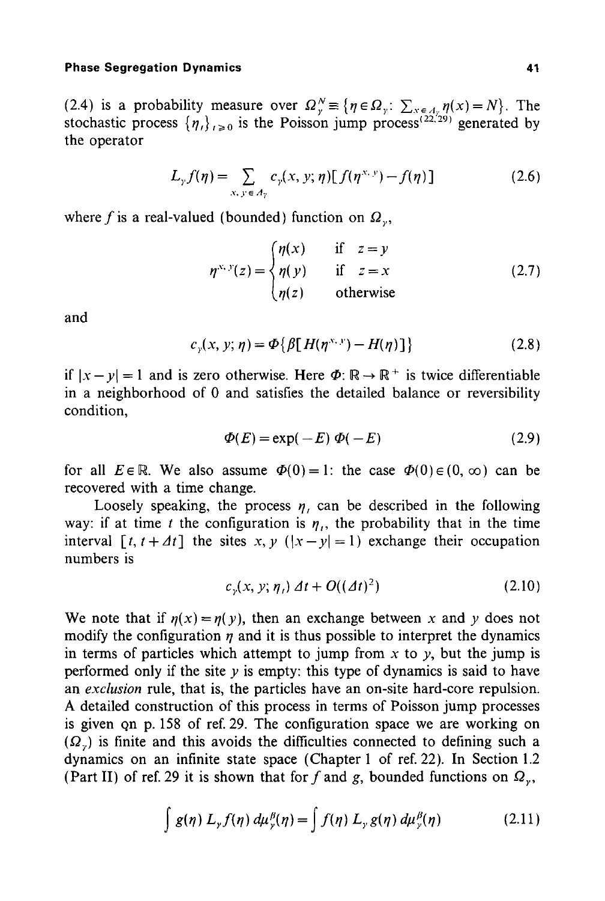(2.4) is a probability measure over  $\Omega_{v}^{N} \equiv \{\eta \in \Omega_{v}: \sum_{x \in \Lambda_{v}} \eta(x) = N\}$ . The stochastic process  $\{\eta_i\}_{i\geq 0}$  is the Poisson jump process<sup>(22,29)</sup> generated by the operator

$$
L_{\gamma} f(\eta) = \sum_{x, y \in A_{\gamma}} c_{\gamma}(x, y; \eta) [f(\eta^{x, y}) - f(\eta)] \qquad (2.6)
$$

where f is a real-valued (bounded) function on  $\Omega_{\nu}$ ,

$$
\eta^{x, y}(z) = \begin{cases} \eta(x) & \text{if } z = y \\ \eta(y) & \text{if } z = x \\ \eta(z) & \text{otherwise} \end{cases} \tag{2.7}
$$

and

$$
c_y(x, y; \eta) = \Phi\{\beta[H(\eta^{x, y}) - H(\eta)]\} \qquad (2.8)
$$

if  $|x-y| = 1$  and is zero otherwise. Here  $\Phi$ :  $\mathbb{R} \to \mathbb{R}^+$  is twice differentiable in a neighborhood of 0 and satisfies the detailed balance or reversibility condition,

$$
\Phi(E) = \exp(-E) \ \Phi(-E) \tag{2.9}
$$

for all  $E \in \mathbb{R}$ . We also assume  $\Phi(0) = 1$ : the case  $\Phi(0) \in (0, \infty)$  can be recovered with a time change.

Loosely speaking, the process  $\eta$ , can be described in the following way: if at time t the configuration is  $\eta_i$ , the probability that in the time interval  $[t, t + \Delta t]$  the sites x, y  $(|x - y| = 1)$  exchange their occupation numbers is

$$
c_{\nu}(x, y; \eta_t) \Delta t + O((\Delta t)^2) \tag{2.10}
$$

We note that if  $\eta(x)=\eta(y)$ , then an exchange between x and y does not modify the configuration  $\eta$  and it is thus possible to interpret the dynamics in terms of particles which attempt to jump from x to y, but the jump is performed only if the site  $y$  is empty: this type of dynamics is said to have an *exclusion* rule, that is, the particles have an on-site hard-core repulsion. A detailed construction of this process in terms of Poisson jump processes is given qn p. 158 of ref. 29. The configuration space we are working on  $(\Omega_{\nu})$  is finite and this avoids the difficulties connected to defining such a dynamics on an infinite state space (Chapter 1 of ref. 22). In Section 1.2 (Part II) of ref. 29 it is shown that for f and g, bounded functions on  $\Omega_{\nu}$ ,

$$
\int g(\eta) L_{\gamma} f(\eta) d\mu_{\gamma}^{\beta}(\eta) = \int f(\eta) L_{\gamma} g(\eta) d\mu_{\gamma}^{\beta}(\eta)
$$
 (2.11)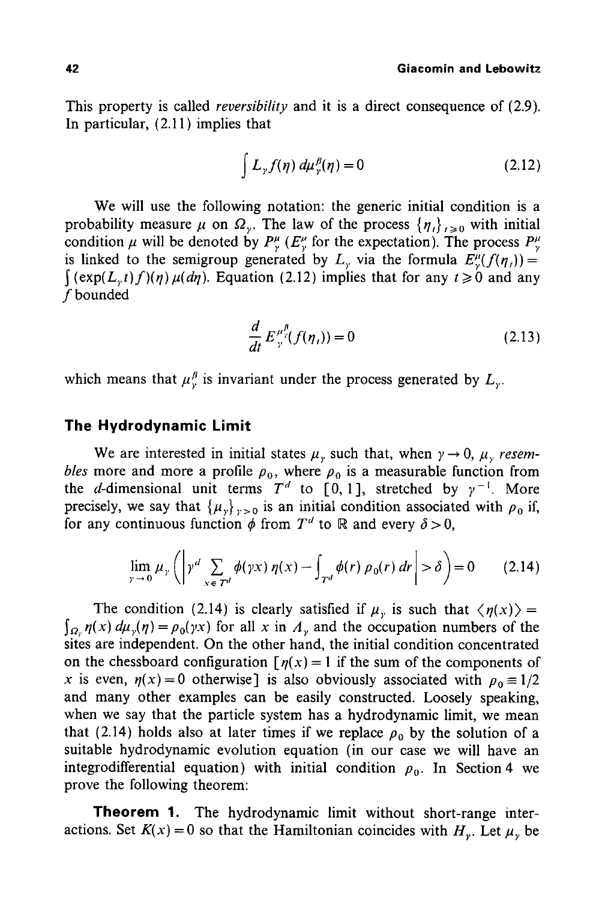This property is called *reversibility* and it is a direct consequence of (2.9). In particular, (2.11) implies that

$$
\int L_{\gamma} f(\eta) d\mu_{\gamma}^{\beta}(\eta) = 0 \qquad (2.12)
$$

We will use the following notation: the generic initial condition is a probability measure  $\mu$  on  $\Omega_{\nu}$ . The law of the process  $\{\eta_i\}_{i\geq0}$  with initial condition  $\mu$  will be denoted by  $P^{\mu}_{\nu}$  ( $E^{\mu}_{\nu}$  for the expectation). The process  $P^{\mu}_{\nu}$ is linked to the semigroup generated by L<sub>y</sub> via the formula  $E_{\nu}^{\mu}(f(\eta_{i}))=$  $\int$  (exp(L<sub>r</sub>t)f)(n)  $\mu$ (dn). Equation (2.12) implies that for any  $t \ge 0$  and any f bounded

$$
\frac{d}{dt} E_{\gamma}^{\mu_{\gamma}^{\beta}}(f(\eta_{\iota})) = 0 \tag{2.13}
$$

which means that  $\mu^{\beta}_{\nu}$  is invariant under the process generated by  $L_{\nu}$ .

# **The Hydrodynamic Limit**

We are interested in initial states  $\mu$ , such that, when  $\gamma \rightarrow 0$ ,  $\mu$ , resem*bles* more and more a profile  $\rho_0$ , where  $\rho_0$  is a measurable function from the d-dimensional unit terms  $T<sup>d</sup>$  to [0, 1], stretched by  $\gamma^{-1}$ . More precisely, we say that  $\{\mu_{y}\}_{y>0}$  is an initial condition associated with  $\rho_0$  if, for any continuous function  $\phi$  from  $T^d$  to R and every  $\delta > 0$ ,

$$
\lim_{\gamma \to 0} \mu_{\gamma} \left( \left| \gamma^{d} \sum_{x \in \mathcal{T}^{d}} \phi(\gamma x) \eta(x) - \int_{\mathcal{T}^{d}} \phi(r) \rho_{0}(r) dr \right| > \delta \right) = 0 \qquad (2.14)
$$

The condition (2.14) is clearly satisfied if  $\mu<sub>y</sub>$  is such that  $\langle \eta(x) \rangle$  =  $\int_{\Omega_{\gamma}} \eta(x) d\mu_{\gamma}(\eta) = \rho_0(\gamma x)$  for all x in  $\Lambda_{\gamma}$  and the occupation numbers of the sites are independent. On the other hand, the initial condition concentrated on the chessboard configuration  $\lceil \eta(x) \rceil = 1$  if the sum of the components of x is even,  $\eta(x)=0$  otherwise] is also obviously associated with  $\rho_0 = 1/2$ and many other examples can be easily constructed. Loosely speaking, when we say that the particle system has a hydrodynamic limit, we mean that (2.14) holds also at later times if we replace  $\rho_0$  by the solution of a suitable hydrodynamic evolution equation (in our case we will have an integrodifferential equation) with initial condition  $\rho_0$ . In Section 4 we prove the following theorem:

**Theorem** 1. The hydrodynamic limit without short-range interactions. Set  $K(x) = 0$  so that the Hamiltonian coincides with  $H_y$ . Let  $\mu_y$  be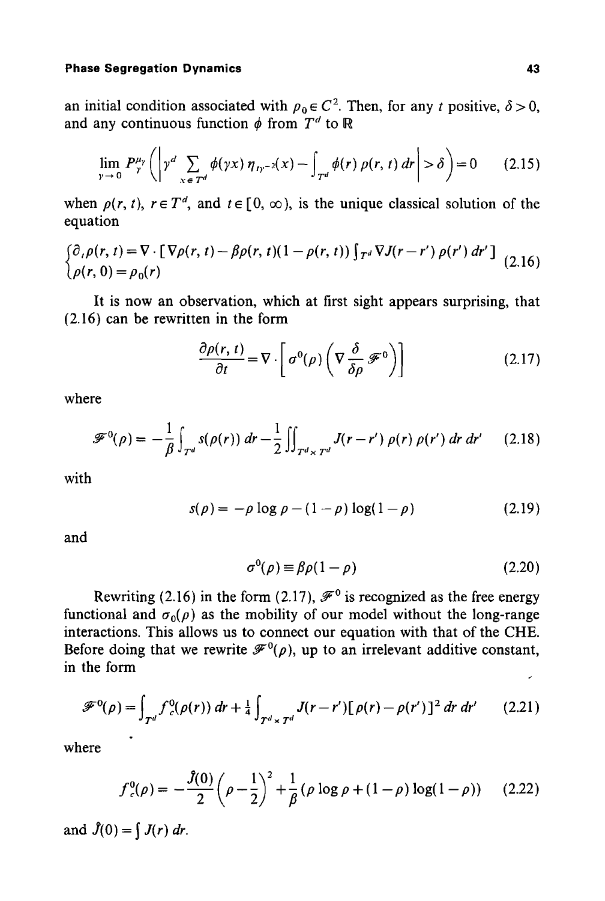$\mathbb{R}^2$ 

an initial condition associated with  $\rho_0 \in C^2$ . Then, for any t positive,  $\delta > 0$ , and any continuous function  $\phi$  from  $T^d$  to R

$$
\lim_{\gamma \to 0} P^{\mu_{\gamma}}_{\gamma} \left( \left| \gamma^{d} \sum_{x \in \mathcal{T}^{d}} \phi(\gamma x) \, \eta_{\, \gamma^{-2}}(x) - \int_{\mathcal{T}^{d}} \phi(r) \, \rho(r, \, t) \, dr \right| > \delta \right) = 0 \qquad (2.15)
$$

when  $\rho(r, t)$ ,  $r \in T<sup>d</sup>$ , and  $t \in [0, \infty)$ , is the unique classical solution of the equation

$$
\begin{cases} \partial_t \rho(r, t) = \nabla \cdot \left[ \nabla \rho(r, t) - \beta \rho(r, t) (1 - \rho(r, t)) \int_{T^d} \nabla J(r - r') \rho(r') dr' \right] \\ \rho(r, 0) = \rho_0(r) \end{cases} (2.16)
$$

**It** is now an observation, which at first sight appears surprising, that (2.16) can be rewritten in the form

$$
\frac{\partial \rho(r,\,t)}{\partial t} = \nabla \cdot \left[ \, \sigma^0(\rho) \left( \nabla \frac{\delta}{\delta \rho} \, \mathscr{F}^0 \right) \right] \tag{2.17}
$$

where

$$
\mathscr{F}^0(\rho) = -\frac{1}{\beta} \int_{T^d} s(\rho(r)) \, dr - \frac{1}{2} \iint_{T^d \times T^d} J(r - r') \, \rho(r) \, \rho(r') \, dr \, dr' \qquad (2.18)
$$

with

$$
s(\rho) = -\rho \log \rho - (1 - \rho) \log(1 - \rho) \tag{2.19}
$$

and

$$
\sigma^0(\rho) \equiv \beta \rho (1 - \rho) \tag{2.20}
$$

Rewriting (2.16) in the form (2.17),  $\mathscr{F}^0$  is recognized as the free energy functional and  $\sigma_0(\rho)$  as the mobility of our model without the long-range interactions. This allows us to connect our equation with that of the CHE. Before doing that we rewrite  $\mathcal{F}^0(\rho)$ , up to an irrelevant additive constant, in the form

$$
\mathscr{F}^0(\rho) = \int_{T^d} f_c^0(\rho(r)) dr + \frac{1}{4} \int_{T^d \times T^d} J(r - r') [\rho(r) - \rho(r')]^2 dr dr' \qquad (2.21)
$$

where

$$
f_c^0(\rho) = -\frac{\hat{J}(0)}{2} \left(\rho - \frac{1}{2}\right)^2 + \frac{1}{\beta} \left(\rho \log \rho + (1 - \rho) \log(1 - \rho)\right) \tag{2.22}
$$

and  $\hat{J}(0) = \int J(r) dr$ .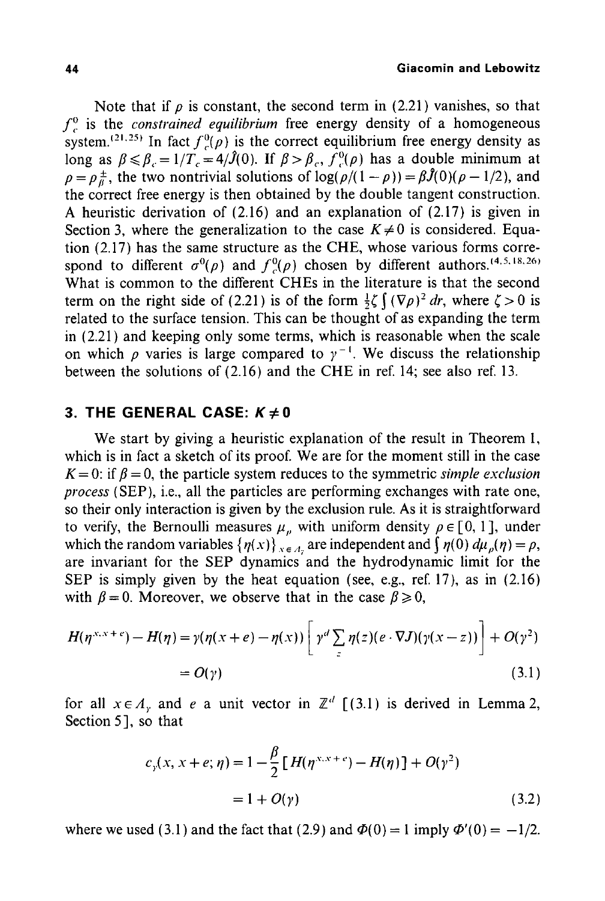Note that if  $\rho$  is constant, the second term in (2.21) vanishes, so that  $f_c^0$  is the *constrained equilibrium* free energy density of a homogeneous system.<sup>(21,25)</sup> In fact  $f^0(\rho)$  is the correct equilibrium free energy density as long as  $\beta \le \beta_c = 1/T_c = 4/\hat{J}(0)$ . If  $\beta > \beta_c$ ,  $\hat{f}_c^0(\rho)$  has a double minimum at  $\rho = \rho \frac{1}{\beta}$ , the two nontrivial solutions of  $\log(\rho/(1 - \rho)) = \beta \hat{J}(0)(\rho - 1/2)$ , and the correct free energy is then obtained by the double tangent construction. A heuristic derivation of (2.16) and an explanation of (2.17) is given in Section 3, where the generalization to the case  $K \neq 0$  is considered. Equation (2.17) has the same structure as the CHE, whose various forms correspond to different  $\sigma^0(\rho)$  and  $f^0(\rho)$  chosen by different authors.<sup>(4,5,18,26)</sup> What is common to the different CHEs in the literature is that the second term on the right side of (2.21) is of the form  $\frac{1}{2}\zeta \int (\nabla \rho)^2 dr$ , where  $\zeta > 0$  is related to the surface tension. This can be thought of as expanding the term in (2.21) and keeping only some terms, which is reasonable when the scale on which  $\rho$  varies is large compared to  $\gamma^{-1}$ . We discuss the relationship between the solutions of (2.16) and the CHE in ref. 14; see also ref. 13.

# **3. THE GENERAL CASE:**  $K \neq 0$

We start by giving a heuristic explanation of the result in Theorem I, which is in fact a sketch of its proof. We are for the moment still in the case  $K = 0$ : if  $\beta = 0$ , the particle system reduces to the symmetric *simple exclusion process* (SEP), i.e., all the particles are performing exchanges with rate one, so their only interaction is given by the exclusion rule. As it is straightforward to verify, the Bernoulli measures  $\mu_{\nu}$  with uniform density  $\rho \in [0, 1]$ , under which the random variables  $\{\eta(x)\}_{x \in A_n}$  are independent and  $\int \eta(0) d\mu_{\rho}(\eta) = \rho$ , are invariant for the SEP dynamics and the hydrodynamic limit for the SEP is simply given by the heat equation (see, e.g., ref. 17), as in (2.16) with  $\beta = 0$ . Moreover, we observe that in the case  $\beta \ge 0$ ,

$$
H(\eta^{x.x+e}) - H(\eta) = \gamma(\eta(x+e) - \eta(x)) \left[ \gamma^d \sum_{z} \eta(z) (e \cdot \nabla J)(\gamma(x-z)) \right] + O(\gamma^2)
$$
  
=  $O(\gamma)$  (3.1)

for all  $x \in A$ <sub>r</sub> and e a unit vector in  $\mathbb{Z}^d$   $[(3.1)$  is derived in Lemma 2, Section 5], so that

$$
c_{\gamma}(x, x + e; \eta) = 1 - \frac{\beta}{2} [H(\eta^{x.x + c}) - H(\eta)] + O(\gamma^{2})
$$
  
= 1 + O(\gamma) (3.2)

where we used (3.1) and the fact that (2.9) and  $\Phi(0) = 1$  imply  $\Phi'(0) = -1/2$ .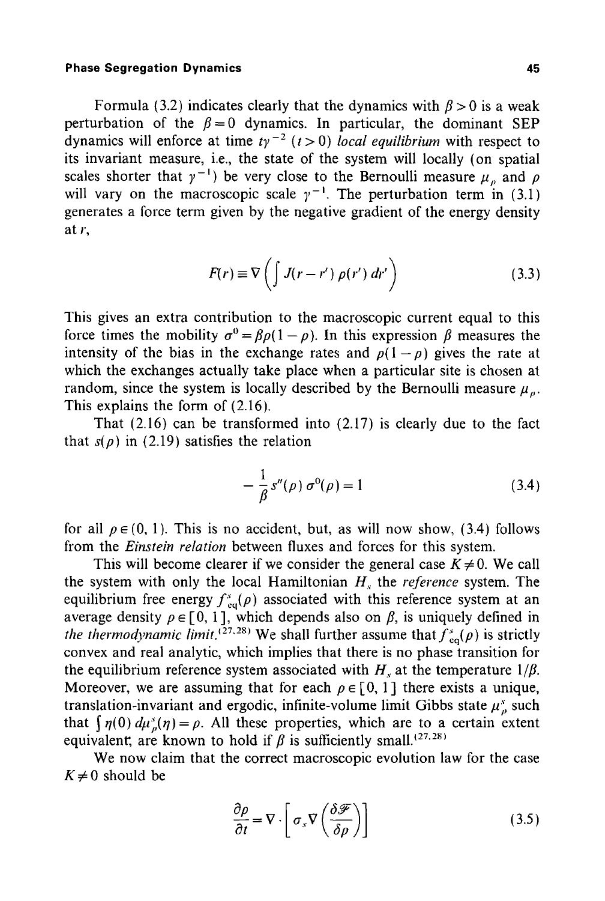Formula (3.2) indicates clearly that the dynamics with  $\beta > 0$  is a weak perturbation of the  $\beta = 0$  dynamics. In particular, the dominant SEP dynamics will enforce at time  $ty^{-2}$   $(t>0)$  *local equilibrium* with respect to its invariant measure, i.e., the state of the system will locally (on spatial scales shorter that  $\gamma^{-1}$ ) be very close to the Bernoulli measure  $\mu_{\rho}$  and  $\rho$ will vary on the macroscopic scale  $\gamma^{-1}$ . The perturbation term in (3.1) generates a force term given by the negative gradient of the energy density at r,

$$
F(r) \equiv \nabla \left( \int J(r - r') \, \rho(r') \, dr' \right) \tag{3.3}
$$

This gives an extra contribution to the macroscopic current equal to this force times the mobility  $\sigma^0 = \beta \rho (1 - \rho)$ . In this expression  $\beta$  measures the intensity of the bias in the exchange rates and  $p(1-p)$  gives the rate at which the exchanges actually take place when a particular site is chosen at random, since the system is locally described by the Bernoulli measure  $\mu_a$ . This explains the form of (2.16).

That (2.16) can be transformed into (2.17) is clearly due to the fact that  $s(\rho)$  in (2.19) satisfies the relation

$$
-\frac{1}{\beta} s''(\rho) \sigma^0(\rho) = 1 \tag{3.4}
$$

for all  $\rho \in (0, 1)$ . This is no accident, but, as will now show, (3.4) follows from the *Einstein relation* between fluxes and forces for this system.

This will become clearer if we consider the general case  $K \neq 0$ . We call the system with only the local Hamiltonian  $H<sub>s</sub>$  the *reference* system. The equilibrium free energy  $f_{eq}^{s}(\rho)$  associated with this reference system at an average density  $\rho \in [0, 1]$ , which depends also on  $\beta$ , is uniquely defined in *the thermodynamic limit.* <sup> $(27.28)$ </sup> We shall further assume that  $f_{eq}^s(\rho)$  is strictly convex and real analytic, which implies that there is no phase transition for the equilibrium reference system associated with  $H<sub>s</sub>$  at the temperature  $1/\beta$ . Moreover, we are assuming that for each  $\rho \in [0, 1]$  there exists a unique, translation-invariant and ergodic, infinite-volume limit Gibbs state  $\mu_p^s$  such that  $\int \eta(0) d\mu_{\rho}^{s}(\eta) = \rho$ . All these properties, which are to a certain extent equivalent, are known to hold if  $\beta$  is sufficiently small.<sup>(27,28)</sup>

We now claim that the correct macroscopic evolution law for the case  $K \neq 0$  should be

$$
\frac{\partial \rho}{\partial t} = \nabla \cdot \left[ \sigma_s \nabla \left( \frac{\delta \mathcal{F}}{\delta \rho} \right) \right]
$$
(3.5)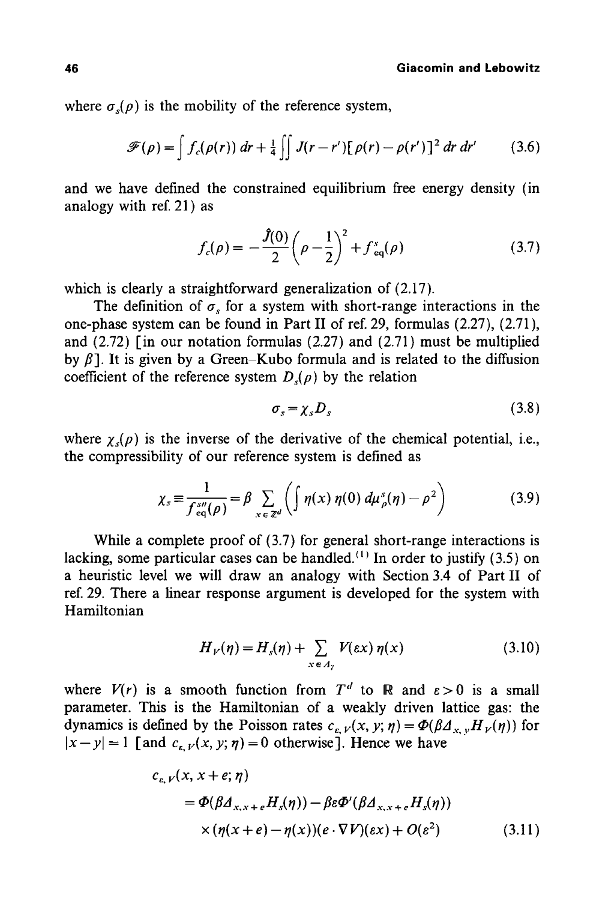where  $\sigma_s(\rho)$  is the mobility of the reference system,

$$
\mathscr{F}(\rho) = \int f_c(\rho(r)) dr + \frac{1}{4} \iint J(r - r') [\rho(r) - \rho(r')]^2 dr dr' \qquad (3.6)
$$

and we have defined the constrained equilibrium free energy density (in analogy with ref. 21) as

$$
f_c(\rho) = -\frac{\hat{J}(0)}{2} \left(\rho - \frac{1}{2}\right)^2 + f_{eq}^*(\rho) \tag{3.7}
$$

which is clearly a straightforward generalization of (2.17).

The definition of  $\sigma_{\rm s}$  for a system with short-range interactions in the one-phase system can be found in Part II of ref. 29, formulas (2.27), (2.71), and (2.72) [in our notation formulas (2.27) and (2.71) must be multiplied by  $\beta$ ]. It is given by a Green-Kubo formula and is related to the diffusion coefficient of the reference system  $D<sub>s</sub>(p)$  by the relation

$$
\sigma_s = \chi_s D_s \tag{3.8}
$$

where  $\chi(\rho)$  is the inverse of the derivative of the chemical potential, i.e., the compressibility of our reference system is defined as

$$
\chi_s \equiv \frac{1}{f_{eq}^{s\prime\prime}(\rho)} = \beta \sum_{x \in \mathbb{Z}^d} \left( \int \eta(x) \, \eta(0) \, d\mu_{\rho}^s(\eta) - \rho^2 \right) \tag{3.9}
$$

While a complete proof of (3.7) for general short-range interactions is lacking, some particular cases can be handled.<sup>(1)</sup> In order to justify (3.5) on a heuristic level we will draw an analogy with Section 3.4 of Part II of ref. 29. There a linear response argument is developed for the system with Hamiltonian

$$
H_V(\eta) = H_s(\eta) + \sum_{x \in A_\gamma} V(\varepsilon x) \eta(x) \tag{3.10}
$$

where  $V(r)$  is a smooth function from  $T<sup>d</sup>$  to R and  $\varepsilon > 0$  is a small parameter. This is the Hamiltonian of a weakly driven lattice gas: the dynamics is defined by the Poisson rates  $c_{\varepsilon, V}(x, y; \eta) = \Phi(\beta A_{x, V}H_V(\eta))$  for  $|x-y| = 1$  [and  $c_{k} y(x, y; \eta) = 0$  otherwise]. Hence we have

$$
c_{\varepsilon,\,V}(x,\,x+\varepsilon;\,\eta)
$$
  
=  $\Phi(\beta A_{x,x+\varepsilon}H_s(\eta))-\beta\varepsilon\Phi'(\beta A_{x,x+\varepsilon}H_s(\eta))$   
 $\times(\eta(x+\varepsilon)-\eta(x))(e\cdot\nabla V)(\varepsilon x)+O(\varepsilon^2)$  (3.11)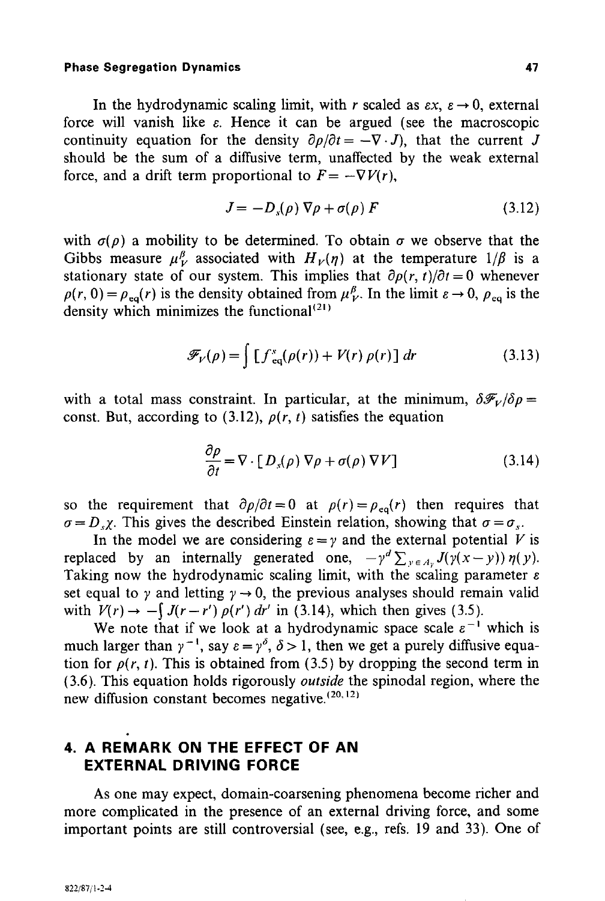In the hydrodynamic scaling limit, with r scaled as  $\epsilon x$ ,  $\epsilon \rightarrow 0$ , external force will vanish like  $\varepsilon$ . Hence it can be argued (see the macroscopic continuity equation for the density  $\partial \rho / \partial t = -\nabla \cdot J$ , that the current J should be the sum of a diffusive term, unaffected by the weak external force, and a drift term proportional to  $F = -\nabla V(r)$ ,

$$
J = -D_s(\rho) \nabla \rho + \sigma(\rho) F \qquad (3.12)
$$

with  $\sigma(\rho)$  a mobility to be determined. To obtain  $\sigma$  we observe that the Gibbs measure  $\mu^{\beta}_{\nu}$  associated with  $H_{\nu}(\eta)$  at the temperature  $1/\beta$  is a stationary state of our system. This implies that  $\partial \rho(r, t)/\partial t = 0$  whenever  $p(r, 0) = p_{eq}(r)$  is the density obtained from  $\mu^{\beta}_{V}$ . In the limit  $\varepsilon \rightarrow 0$ ,  $p_{eq}$  is the density which minimizes the functional  $(21)$ 

$$
\mathscr{F}_{V}(\rho) = \int \left[ f_{\text{eq}}^{s}(\rho(r)) + V(r) \rho(r) \right] dr \tag{3.13}
$$

with a total mass constraint. In particular, at the minimum,  $\delta \mathscr{F}_V/\delta \rho =$ const. But, according to (3.12),  $\rho(r, t)$  satisfies the equation

$$
\frac{\partial \rho}{\partial t} = \nabla \cdot [D_s(\rho) \nabla \rho + \sigma(\rho) \nabla V] \tag{3.14}
$$

so the requirement that  $\partial \rho / \partial t = 0$  at  $\rho(r) = \rho_{eq}(r)$  then requires that  $\sigma = D_x \chi$ . This gives the described Einstein relation, showing that  $\sigma = \sigma_x$ .

In the model we are considering  $\varepsilon = \gamma$  and the external potential V is replaced by an internally generated one,  $-\gamma^d \sum_{y \in A_y} J(y(x-y)) \eta(y)$ . Taking now the hydrodynamic scaling limit, with the scaling parameter  $\varepsilon$ set equal to  $\gamma$  and letting  $\gamma \rightarrow 0$ , the previous analyses should remain valid with  $V(r) \rightarrow -\int J(r-r') \rho(r') dr'$  in (3.14), which then gives (3.5).

We note that if we look at a hydrodynamic space scale  $\varepsilon^{-1}$  which is much larger than  $\gamma^{-1}$ , say  $\varepsilon = \gamma^{\delta}$ ,  $\delta > 1$ , then we get a purely diffusive equation for  $\rho(r, t)$ . This is obtained from (3.5) by dropping the second term in (3.6). This equation holds rigorously *outside* the spinodal region, where the new diffusion constant becomes negative. $(20, 12)$ 

# **4. A REMARK ON THE EFFECT OF AN EXTERNAL DRIVING FORCE**

As one may expect, domain-coarsening phenomena become richer and more complicated in the presence of an external driving force, and some important points are still controversial (see, e.g., refs. 19 and 33). One of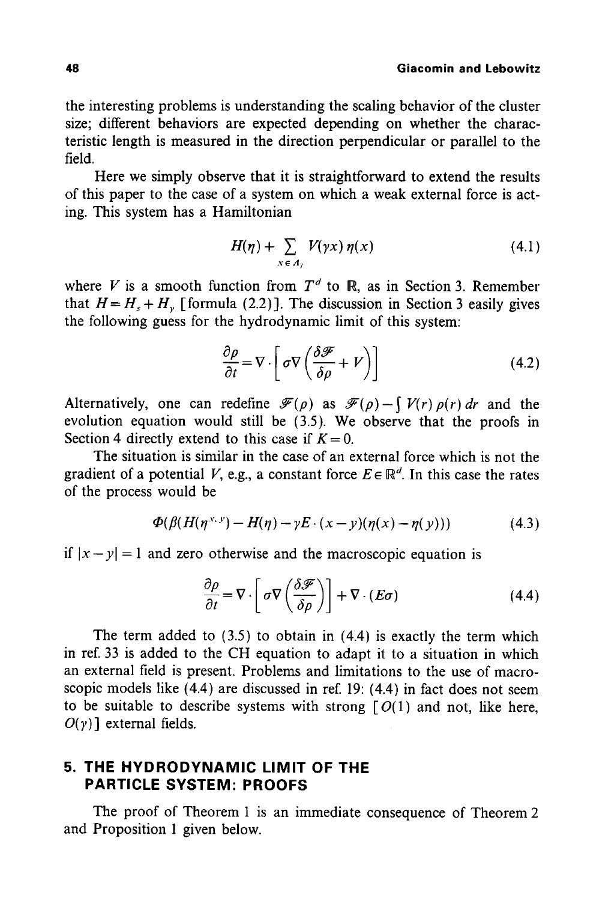the interesting problems is understanding the scaling behavior of the cluster size; different behaviors are expected depending on whether the characteristic length is measured in the direction perpendicular or parallel to the field.

Here we simply observe that it is straightforward to extend the results of this paper to the case of a system on which a weak external force is acting. This system has a Hamiltonian

$$
H(\eta) + \sum_{x \in A_{\gamma}} V(\gamma x) \eta(x) \tag{4.1}
$$

where V is a smooth function from  $T<sup>d</sup>$  to  $\mathbb{R}$ , as in Section 3. Remember that  $H = H<sub>s</sub> + H<sub>v</sub>$  [formula (2.2)]. The discussion in Section 3 easily gives the following guess for the hydrodynamic limit of this system:

$$
\frac{\partial \rho}{\partial t} = \nabla \cdot \left[ \sigma \nabla \left( \frac{\partial \mathcal{F}}{\partial \rho} + V \right) \right]
$$
(4.2)

Alternatively, one can redefine  $\mathcal{F}(\rho)$  as  $\mathcal{F}(\rho)-\int V(r)\rho(r) dr$  and the evolution equation would still be (3.5). We observe that the proofs in Section 4 directly extend to this case if  $K = 0$ .

The situation is similar in the case of an external force which is not the gradient of a potential V, e.g., a constant force  $E \in \mathbb{R}^d$ . In this case the rates of the process would be

$$
\Phi(\beta(H(\eta^{x,y})-H(\eta)-\gamma E\cdot(x-y)(\eta(x)-\eta(y)))\tag{4.3}
$$

if  $|x-y| = 1$  and zero otherwise and the macroscopic equation is

$$
\frac{\partial \rho}{\partial t} = \nabla \cdot \left[ \sigma \nabla \left( \frac{\delta \mathcal{F}}{\delta \rho} \right) \right] + \nabla \cdot (E \sigma) \tag{4.4}
$$

The term added to (3.5) to obtain in (4.4) is exactly the term which in ref. 33 is added to the CH equation to adapt it to a situation in which an external field is present. Problems and limitations to the use of macroscopic models like (4.4) are discussed in ref. 19: (4.4) in fact does not seem to be suitable to describe systems with strong  $[O(1)]$  and not, like here,  $O(y)$ ] external fields.

# **5. THE HYDRODYNAMIC LIMIT OF THE PARTICLE SYSTEM: PROOFS**

The proof of Theorem 1 is an immediate consequence of Theorem 2 and Proposition 1 given below.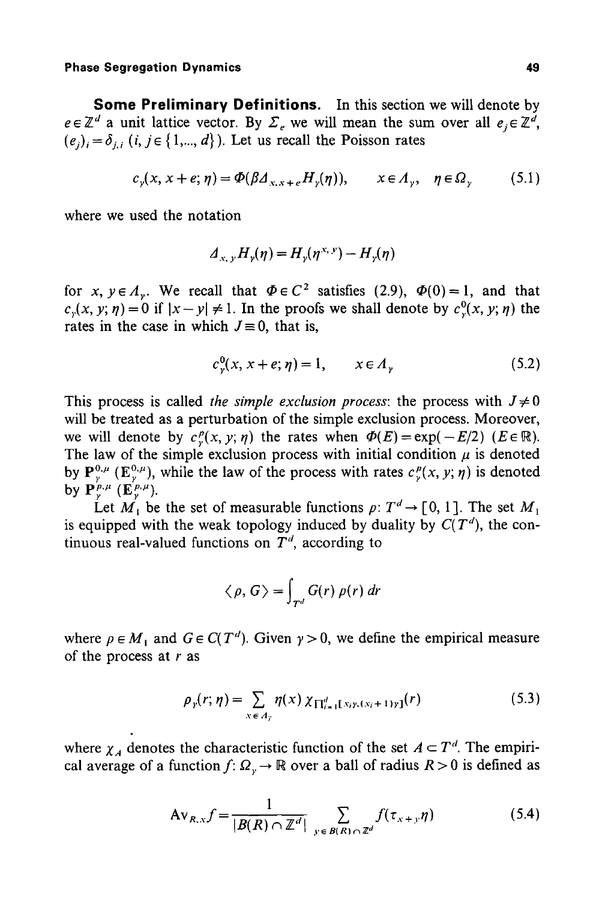**Some Preliminary Definitions.** In this section we will denote by  $e \in \mathbb{Z}^d$  a unit lattice vector. By  $\Sigma_e$  we will mean the sum over all  $e_i \in \mathbb{Z}^d$ ,  $(e_i)_{i} = \delta_{i,i}$   $(i, j \in \{1, ..., d\})$ . Let us recall the Poisson rates

$$
c_y(x, x + e; \eta) = \Phi(\beta \Delta_{x, x + e} H_y(\eta)), \qquad x \in \Lambda_y, \quad \eta \in \Omega_y \tag{5.1}
$$

where we used the notation

$$
A_{x,y}H_y(\eta) = H_y(\eta^{x,y}) - H_y(\eta)
$$

for *x*,  $y \in A_y$ . We recall that  $\Phi \in C^2$  satisfies (2.9),  $\Phi(0) = 1$ , and that  $c_y(x, y; \eta) = 0$  if  $|x - y| \neq 1$ . In the proofs we shall denote by  $c_y(x, y; \eta)$  the rates in the case in which  $J \equiv 0$ , that is,

$$
c_v^0(x, x + e; \eta) = 1, \qquad x \in A_v \tag{5.2}
$$

This process is called *the simple exclusion process*: the process with  $J \neq 0$ will be treated as a perturbation of the simple exclusion process. Moreover, we will denote by  $c_r^p(x, y; \eta)$  the rates when  $\Phi(E) = \exp(-E/2)$  ( $E \in \mathbb{R}$ ). The law of the simple exclusion process with initial condition  $\mu$  is denoted by  $\mathbf{P}_{y}^{0,\mu}$  ( $\mathbf{E}_{y}^{0,\mu}$ ), while the law of the process with rates  $c_{y}^{p}(x, y; \eta)$  is denoted by  $\mathbf{P}^{p,\mu}$  ( $\mathbf{E}^{p,\mu}$ ).

Let  $M_1$  be the set of measurable functions  $\rho: T^d \to [0, 1]$ . The set  $M_1$ is equipped with the weak topology induced by duality by  $C(T^d)$ , the continuous real-valued functions on  $T<sup>d</sup>$ , according to

$$
\langle \rho, G \rangle = \int_{T^d} G(r) \, \rho(r) \, dr
$$

where  $\rho \in M_1$  and  $G \in C(T^d)$ . Given  $\gamma > 0$ , we define the empirical measure of the process at  $r$  as

$$
\rho_{\gamma}(r;\eta) = \sum_{x \in A_{\gamma}} \eta(x) \, \chi_{\prod_{i=1}^{d} [x_{i}y_{i}(x_{i}+1)y]}(r) \tag{5.3}
$$

where  $\chi_A$  denotes the characteristic function of the set  $A \subset T^d$ . The empirical average of a function  $f: \Omega_r \to \mathbb{R}$  over a ball of radius  $R > 0$  is defined as

$$
Av_{R,x}f = \frac{1}{|B(R) \cap \mathbb{Z}^d|} \sum_{y \in B(R) \cap \mathbb{Z}^d} f(\tau_{x+y}\eta)
$$
(5.4)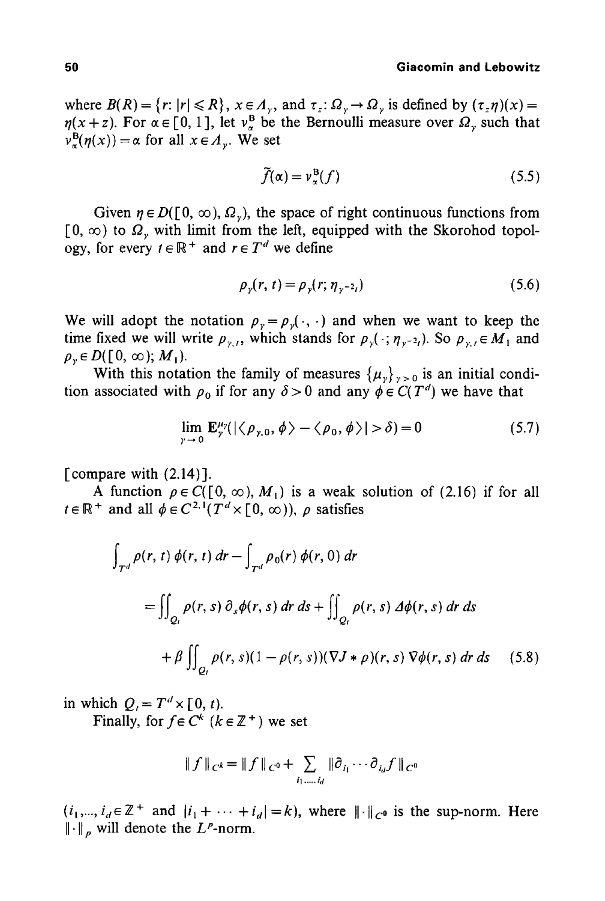where  $B(R) = \{r: |r| \le R\}$ ,  $x \in A_v$ , and  $\tau_z: \Omega_v \to \Omega_v$  is defined by  $(\tau_z \eta)(x) =$  $\eta(x + z)$ . For  $\alpha \in [0, 1]$ , let  $v_{\alpha}^{\beta}$  be the Bernoulli measure over  $\Omega_{\gamma}$  such that  $v^{\text{B}}_{\alpha}(\eta(x)) = \alpha$  for all  $x \in A_{\nu}$ . We set

$$
\tilde{f}(\alpha) = v_{\alpha}^{\mathcal{B}}(f) \tag{5.5}
$$

Given  $\eta \in D([0, \infty), \Omega_{\nu})$ , the space of right continuous functions from  $[0, \infty)$  to  $\Omega$ , with limit from the left, equipped with the Skorohod topology, for every  $t \in \mathbb{R}^+$  and  $r \in T^d$  we define

$$
\rho_{\gamma}(r, t) = \rho_{\gamma}(r; \eta_{\gamma^{-2}t}) \tag{5.6}
$$

We will adopt the notation  $p_y = p_y(\cdot, \cdot)$  and when we want to keep the time fixed we will write  $\rho_{y,t}$ , which stands for  $\rho_y(\cdot; \eta_{y-2t})$ . So  $\rho_{y,t} \in M_1$  and  $\rho$ <sub>y</sub>  $\in$  D([0,  $\infty$ ); M<sub>1</sub>).

With this notation the family of measures  $\{\mu_y\}_{y>0}$  is an initial condition associated with  $\rho_0$  if for any  $\delta > 0$  and any  $\phi \in C(T^d)$  we have that

$$
\lim_{\gamma \to 0} \mathbf{E}_{\gamma}^{\mu_{\gamma}}(|\langle \rho_{\gamma,0}, \phi \rangle - \langle \rho_{0}, \phi \rangle| > \delta) = 0 \tag{5.7}
$$

[compare with  $(2.14)$ ].

A function  $\rho \in C([0, \infty), M_1)$  is a weak solution of (2.16) if for all  $t \in \mathbb{R}^+$  and all  $\phi \in C^{2,1}(T^d \times [0,\infty))$ ,  $\rho$  satisfies

$$
\int_{T^d} \rho(r, t) \phi(r, t) dr - \int_{T^d} \rho_0(r) \phi(r, 0) dr
$$
\n
$$
= \iint_{Q_t} \rho(r, s) \partial_s \phi(r, s) dr ds + \iint_{Q_t} \rho(r, s) d\phi(r, s) dr ds
$$
\n
$$
+ \beta \iint_{Q_t} \rho(r, s) (1 - \rho(r, s)) (\nabla J * \rho)(r, s) \nabla \phi(r, s) dr ds \quad (5.8)
$$

in which  $Q_i = T^d \times [0, t)$ .

Finally, for  $f \in C^k$  ( $k \in \mathbb{Z}^+$ ) we set

$$
\|f\|_{C^k} = \|f\|_{C^0} + \sum_{i_1,\dots,i_d} \|\partial_{i_1}\cdots \partial_{i_d}f\|_{C^0}
$$

 $(i_1, ..., i_d \in \mathbb{Z}^+$  and  $|i_1 + \cdots + i_d| = k$ , where  $|| \cdot ||_{C^0}$  is the sup-norm. Here  $\|\cdot\|_p$  will denote the  $L^p$ -norm.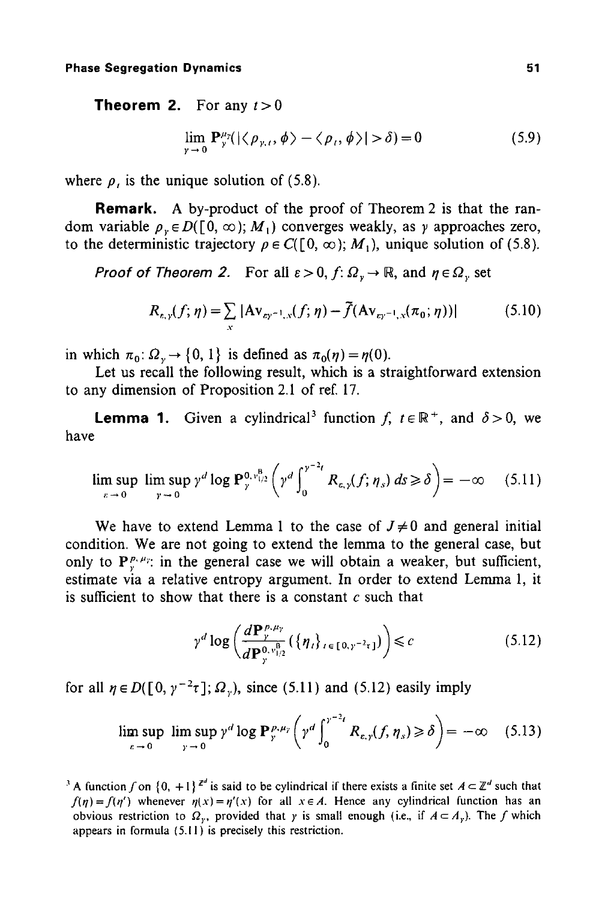**Theorem 2.** For any  $t > 0$ 

$$
\lim_{\gamma \to 0} \mathbf{P}_{\gamma}^{\mu_{\gamma}}(|\langle \rho_{\gamma,\ell}, \phi \rangle - \langle \rho_{\ell}, \phi \rangle| > \delta) = 0 \tag{5.9}
$$

where  $\rho$ , is the unique solution of (5.8).

**Remark.** A by-product of the proof of Theorem 2 is that the random variable  $\rho_r \in D([0, \infty); M_1)$  converges weakly, as y approaches zero, to the deterministic trajectory  $\rho \in C([0, \infty); M_1)$ , unique solution of (5.8).

*Proof of Theorem 2.* For all  $\varepsilon > 0$ ,  $f: \Omega_v \to \mathbb{R}$ , and  $\eta \in \Omega_v$  set

$$
R_{\varepsilon,\gamma}(f;\eta) = \sum_{x} |Av_{\varepsilon\gamma^{-1},x}(f;\eta) - \tilde{f}(Av_{\varepsilon\gamma^{-1},x}(\pi_0;\eta))|
$$
 (5.10)

in which  $\pi_0$ :  $\Omega_v \to \{0, 1\}$  is defined as  $\pi_0(\eta) = \eta(0)$ .

Let us recall the following result, which is a straightforward extension to any dimension of Proposition 2.1 of ref. 17.

**Lemma 1.** Given a cylindrical<sup>3</sup> function f,  $t \in \mathbb{R}^+$ , and  $\delta > 0$ , we have

$$
\limsup_{\varepsilon \to 0} \limsup_{\gamma \to 0} \gamma^d \log \mathbf{P}_{\gamma}^{0, \nu_{1/2}^{\mathbf{B}}} \left( \gamma^d \int_0^{\gamma^{-2}t} R_{\varepsilon, \gamma}(f; \eta_s) \, ds \geq \delta \right) = -\infty \quad (5.11)
$$

We have to extend Lemma 1 to the case of  $J\neq 0$  and general initial condition. We are not going to extend the lemma to the general case, but only to  $P_{\nu}^{\rho,\mu_{\nu}}$  in the general case we will obtain a weaker, but sufficient, estimate via a relative entropy argument. In order to extend Lemma 1, it is sufficient to show that there is a constant  $c$  such that

$$
\gamma^d \log \left( \frac{d\mathbf{P}_{\gamma,\mu_{\gamma}}^{\rho,\mu_{\gamma}}}{d\mathbf{P}_{\gamma}^{0,v_{\gamma/2}^{\mathbf{B}}}} \left( \left\{ \eta_{t} \right\}_{t \in [0,\gamma^{-2}\tau]} \right) \right) \leq c \tag{5.12}
$$

for all  $\eta \in D([0, \gamma^{-2}\tau]; \Omega_{\nu})$ , since (5.11) and (5.12) easily imply

$$
\limsup_{\varepsilon \to 0} \limsup_{y \to 0} \gamma^d \log \mathbf{P}^{p,\mu_y}_{y} \bigg( \gamma^d \int_0^{\gamma^{-2}t} R_{\varepsilon,y}(f,\eta_s) \geq \delta \bigg) = -\infty \quad (5.13)
$$

<sup>&</sup>lt;sup>3</sup> A function f on {0, +1}<sup> $z^d$ </sup> is said to be cylindrical if there exists a finite set  $A \subset \mathbb{Z}^d$  such that  $f(\eta) = f(\eta')$  whenever  $\eta(x) = \eta'(x)$  for all  $x \in A$ . Hence any cylindrical function has an obvious restriction to  $\Omega_r$ , provided that y is small enough (i.e., if  $A \subset A_r$ ). The f which appears in formula (5.11) is precisely this restriction.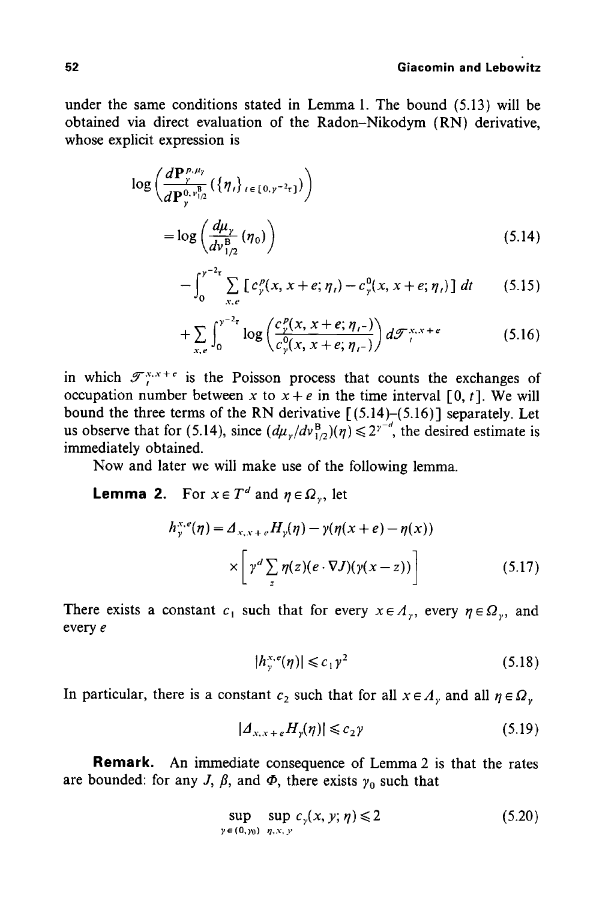#### **52 Giacomin and Lebowitz**

under the same conditions stated in Lemma 1. The bound (5.13) will be obtained via direct evaluation of the Radon-Nikodym (RN) derivative, whose explicit expression is

$$
\log\left(\frac{d\mathbf{P}_{y}^{p,\mu_{y}}}{d\mathbf{P}_{y}^{0,v_{1/2}^{\mathbf{B}}}}\left(\{\eta_{t}\}_{t\in[0,y^{-2}\tau]}\right)\right)
$$

$$
=\log\left(\frac{d\mu_{y}}{dv_{1/2}^{\mathbf{B}}}\left(\eta_{0}\right)\right) \tag{5.14}
$$

$$
-\int_0^{y^{-2}r} \sum_{x,e} \left[ c_y^p(x, x+e; \eta_t) - c_y^0(x, x+e; \eta_t) \right] dt \qquad (5.15)
$$

$$
+\sum_{x,e}\int_0^{\gamma^{-2}\tau}\log\left(\frac{c_{y}^p(x,x+e;\eta_{t-})}{c_{y}^0(x,x+e;\eta_{t-})}\right)d\mathcal{F}_t^{x,x+e}\tag{5.16}
$$

in which  $\mathcal{T}_{t}^{x,x+e}$  is the Poisson process that counts the exchanges of occupation number between x to  $x + e$  in the time interval [0, t]. We will bound the three terms of the RN derivative  $[(5.14)-(5.16)]$  separately. Let us observe that for (5.14), since  $(d\mu_{\nu}/dv_{1/2}^B)(\eta) \leq 2^{\gamma^{-d}}$ , the desired estimate is immediately obtained.

Now and later we will make use of the following lemma.

**Lemma 2.** For  $x \in T^d$  and  $\eta \in \Omega_v$ , let

$$
h_{\gamma}^{x,e}(\eta) = \Delta_{x,x+e} H_{\gamma}(\eta) - \gamma(\eta(x+e) - \eta(x))
$$

$$
\times \left[ \gamma^d \sum_{z} \eta(z) (e \cdot \nabla J)(\gamma(x-z)) \right]
$$
(5.17)

There exists a constant  $c_1$  such that for every  $x \in A_v$ , every  $\eta \in \Omega_v$ , and every e

$$
|h_{\gamma}^{x,e}(\eta)| \leqslant c_1 \gamma^2 \tag{5.18}
$$

In particular, there is a constant  $c_2$  such that for all  $x \in A$ , and all  $\eta \in \Omega$ ,

$$
|A_{x,x+e}H_{\gamma}(\eta)| \leqslant c_2 \gamma \tag{5.19}
$$

Remark. An immediate consequence of Lemma 2 is that the rates are bounded: for any J,  $\beta$ , and  $\Phi$ , there exists  $\gamma_0$  such that

$$
\sup_{y \in (0,y_0)} \sup_{\eta, x, y} c_{\gamma}(x, y; \eta) \leqslant 2 \tag{5.20}
$$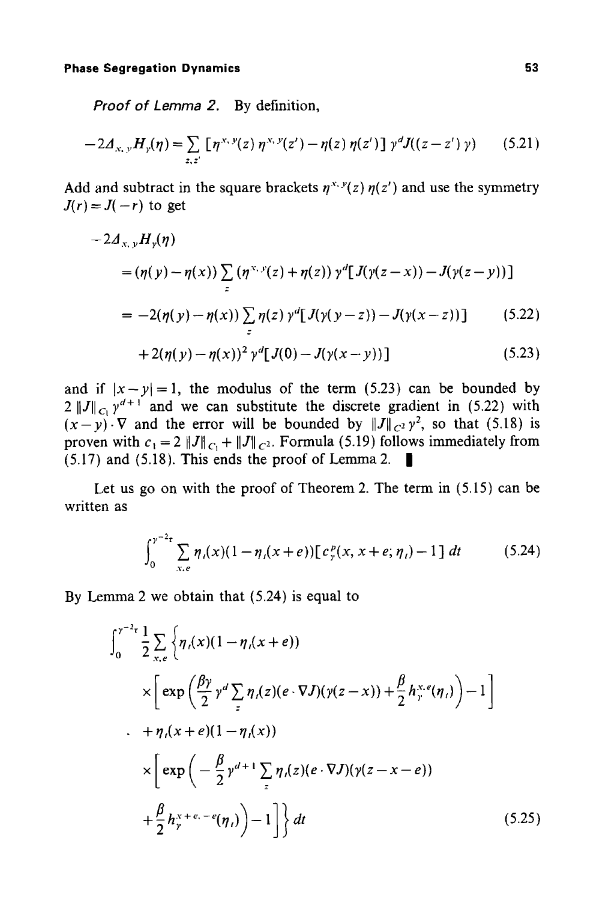*Proof of Lemma 2.* By definition,

$$
-2\Delta_{x,\,y}H_{y}(\eta) = \sum_{z,\,z'} \left[ \eta^{x,\,y}(z) \,\eta^{x,\,y}(z') - \eta(z) \,\eta(z') \right] \,\gamma^d J((z-z') \,\gamma) \tag{5.21}
$$

Add and subtract in the square brackets  $\eta^{x,y}(z)$   $\eta(z')$  and use the symmetry  $J(r) = J(-r)$  to get

$$
-2d_{x,y}H_{\gamma}(\eta)
$$
  
=  $(\eta(y) - \eta(x)) \sum_{z} (\eta^{x,y}(z) + \eta(z)) \gamma^{d} [J(\gamma(z-x)) - J(\gamma(z-y))]$   
=  $-2(\eta(y) - \eta(x)) \sum_{z} \eta(z) \gamma^{d} [J(\gamma(y-z)) - J(\gamma(x-z))]$  (5.22)

+2(
$$
\eta(y) - \eta(x)
$$
)<sup>2</sup>  $\gamma^d[J(0) - J(\gamma(x - y))]$  (5.23)

and if  $|x-y|=1$ , the modulus of the term (5.23) can be bounded by  $2 ||J||_{C_1} y^{d+1}$  and we can substitute the discrete gradient in (5.22) with  $(x-y)\cdot\nabla$  and the error will be bounded by  $\|J\|_{C^2}y^2$ , so that (5.18) is proven with  $c_1 = 2 ||J||_{C_1} + ||J||_{C_2}$ . Formula (5.19) follows immediately from  $(5.17)$  and  $(5.18)$ . This ends the proof of Lemma 2.

Let us go on with the proof of Theorem 2. The term in (5.15) can be written as

$$
\int_0^{\gamma^{-2} \tau} \sum_{x,e} \eta_i(x) (1 - \eta_i(x+e)) \big[ c_y^p(x, x+e; \eta_i) - 1 \big] dt \tag{5.24}
$$

By Lemma 2 we obtain that (5.24) is equal to

$$
\int_{0}^{\gamma^{-2}t} \frac{1}{2} \sum_{x,e} \left\{ \eta_{i}(x)(1 - \eta_{i}(x + e)) \right\} \times \left[ \exp\left(\frac{\beta \gamma}{2} \gamma^{d} \sum_{z} \eta_{i}(z)(e \cdot \nabla J)(\gamma(z - x)) + \frac{\beta}{2} h_{\gamma}^{x,e}(\eta_{i}) \right) - 1 \right] \times \left[ \pi \eta_{i}(x + e)(1 - \eta_{i}(x)) \right] \times \left[ \exp\left(-\frac{\beta}{2} \gamma^{d+1} \sum_{z} \eta_{i}(z)(e \cdot \nabla J)(\gamma(z - x - e)) \right) + \frac{\beta}{2} h_{\gamma}^{x+e,-e}(\eta_{i}) \right) - 1 \right] \} dt \tag{5.25}
$$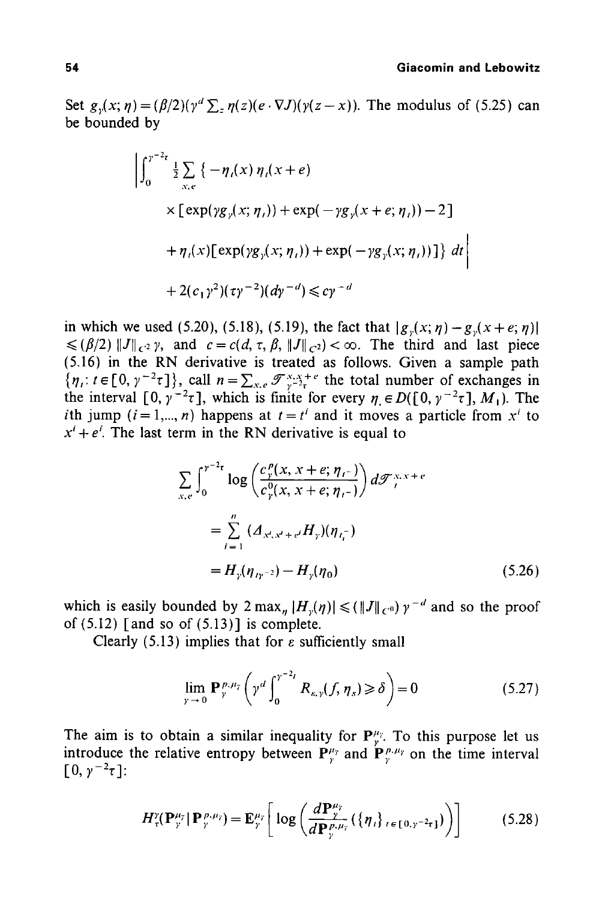Set  $g_y(x; \eta) = (\beta/2)(\gamma^d \sum_z \eta(z)(e \cdot \nabla J)(\gamma(z-x))$ . The modulus of (5.25) can be bounded by

$$
\left| \int_0^{\gamma^{-2} \tau} \frac{1}{2} \sum_{x,e} \left\{ -\eta_i(x) \eta_i(x+e) \right. \right.\n\times \left[ \exp(\gamma g_{\gamma}(x; \eta_i)) + \exp(-\gamma g_{\gamma}(x+e; \eta_i)) - 2 \right] \right.\n+ \eta_i(x) \left[ \exp(\gamma g_{\gamma}(x; \eta_i)) + \exp(-\gamma g_{\gamma}(x; \eta_i)) \right] \} dt \right| \n+ 2(c_1 \gamma^2)(\tau \gamma^{-2}) (d \gamma^{-d}) \le c \gamma^{-d}
$$

in which we used (5.20), (5.18), (5.19), the fact that  $|g_{y}(x; \eta) - g_{y}(x + e; \eta)|$  $\leq (\beta/2) ||J||_{C^2}$  y, and  $c = c(d, \tau, \beta, ||J||_{C^2}) < \infty$ . The third and last piece (5.16) in the RN derivative is treated as follows. Given a sample path  $\{\eta_i: t \in [0, \gamma^{-2}\tau]\},$  call  $n=\sum_{x,e} \mathscr{F}_{\gamma-2\tau}^{x,x+e}$  the total number of exchanges in the interval [0,  $\gamma^{-2}\tau$ ], which is finite for every  $\eta \in D([0, \gamma^{-2}\tau], M_1)$ . The ith jump ( $i = 1,..., n$ ) happens at  $t = t<sup>i</sup>$  and it moves a particle from  $x<sup>i</sup>$  to  $x^{i} + e^{i}$ . The last term in the RN derivative is equal to

$$
\sum_{x,e} \int_0^{\gamma^{-2}t} \log \left( \frac{c_{\gamma}^{\rho}(x, x+e; \eta_{\tau})}{c_{\gamma}^0(x, x+e; \eta_{\tau})} \right) d\mathcal{F}_{\tau}^{x,x+e}
$$
\n
$$
= \sum_{i=1}^n (A_{x^i, x^i + e^i} H_{\gamma})(\eta_{\tau_i^{-}})
$$
\n
$$
= H_{\gamma}(\eta_{\tau_{\gamma^{-2}}}) - H_{\gamma}(\eta_0) \tag{5.26}
$$

which is easily bounded by  $2 \max_{n} |H_{\nu}(\eta)| \leq (\|J\|_{C^0}) \gamma^{-d}$  and so the proof of  $(5.12)$  [and so of  $(5.13)$ ] is complete.

Clearly (5.13) implies that for  $\varepsilon$  sufficiently small

$$
\lim_{\gamma \to 0} \mathbf{P}_{\gamma}^{p, \mu_{\gamma}} \left( \gamma^d \int_0^{\gamma^{-2}t} R_{\kappa, \gamma}(f, \eta_s) \geq \delta \right) = 0 \tag{5.27}
$$

The aim is to obtain a similar inequality for  $P_{\nu}^{\mu_{\nu}}$ . To this purpose let us introduce the relative entropy between  $P_{\nu}^{\mu_{\gamma}}$  and  $P_{\nu}^{\mu_{\gamma}}$  on the time interval  $[0, \gamma^{-2}\tau]$ :

$$
H_{\tau}^{\nu}(\mathbf{P}_{\tau}^{\mu_{\tau}} | \mathbf{P}_{\tau}^{\mu_{\nu}}) = \mathbf{E}_{\tau}^{\mu_{\tau}} \bigg[ \log \bigg( \frac{d \mathbf{P}_{\tau}^{\mu_{\tau}}}{d \mathbf{P}_{\tau}^{\mu_{\nu_{\tau}}}} (\{\eta_{t}\}_{t \in [0, \tau^{-2} \tau]}) \bigg) \bigg] \tag{5.28}
$$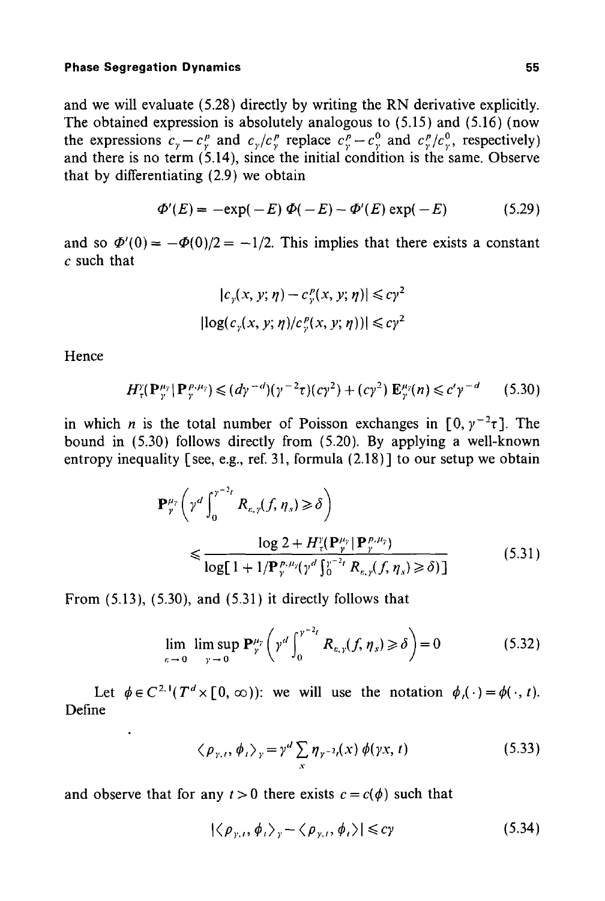and we will evaluate (5.28) directly by writing the RN derivative explicitly. The obtained expression is absolutely analogous to (5.15) and (5.16) (now the expressions  $c_y - c_y^p$  and  $c_y/c_y^p$  replace  $c_y^p - c_y^q$  and  $c_y^p/c_y^q$ , respectively) and there is no term (5.14), since the initial condition is the same. Observe that by differentiating (2.9) we obtain

$$
\Phi'(E) = -\exp(-E)\ \Phi(-E) - \Phi'(E)\exp(-E) \qquad (5.29)
$$

and so  $\Phi'(0) = -\Phi(0)/2 = -1/2$ . This implies that there exists a constant  $c$  such that

$$
|c_{\gamma}(x, y; \eta) - c_{\gamma}^p(x, y; \eta)| \leq c\gamma^2
$$
  

$$
|\log(c_{\gamma}(x, y; \eta)/c_{\gamma}^p(x, y; \eta))| \leq c\gamma^2
$$

**Hence** 

$$
H^{\nu}_{\tau}(\mathbf{P}_{\nu}^{\mu_{\nu}}|\mathbf{P}_{\nu}^{\mu_{\nu}}) \leq (d\gamma^{-d})(\gamma^{-2}\tau)(c\gamma^{2}) + (c\gamma^{2})\mathbf{E}_{\nu}^{\mu_{\nu}}(n) \leq c'\gamma^{-d}
$$
 (5.30)

in which *n* is the total number of Poisson exchanges in  $[0, y^{-2}\tau]$ . The bound in (5.30) follows directly from (5.20). By applying a well-known entropy inequality [see, e.g., ref. 31, formula  $(2.18)$ ] to our setup we obtain

$$
\mathbf{P}_{\gamma}^{\mu_{\gamma}}\left(\gamma^{d}\int_{0}^{\gamma^{-2}t} R_{\varepsilon,\gamma}(f,\eta_{s}) \geq \delta\right)
$$
  

$$
\leq \frac{\log 2 + H_{\gamma}^{\gamma}(\mathbf{P}_{\gamma}^{\mu_{\gamma}} | \mathbf{P}_{\gamma}^{\rho,\mu_{\gamma}})}{\log[1 + 1/\mathbf{P}_{\gamma}^{\rho,\mu_{\gamma}}(\gamma^{d}\int_{0}^{\gamma^{-2}t} R_{\varepsilon,\gamma}(f,\eta_{s}) \geq \delta)]}
$$
(5.31)

From **(5.13), (5.30), and (5.31)** it directly follows that

$$
\lim_{\varepsilon \to 0} \limsup_{y \to 0} \mathbf{P}_{\gamma}^{\mu_{\gamma}} \left( \gamma^d \int_0^{\gamma^{-2}t} R_{\varepsilon, \gamma}(f, \eta_s) \ge \delta \right) = 0 \tag{5.32}
$$

Let  $\phi \in C^{2,1}(T^d \times [0, \infty))$ : we will use the notation  $\phi_i(\cdot) = \phi(\cdot, t)$ . Define

$$
\langle \rho_{\gamma,t}, \phi_t \rangle_{\gamma} = \gamma^d \sum_{x} \eta_{\gamma^{-2}t}(x) \phi(\gamma x, t)
$$
 (5.33)

and observe that for any  $t > 0$  there exists  $c = c(\phi)$  such that

$$
|\langle \rho_{\gamma,t}, \phi_t \rangle_{\gamma} - \langle \rho_{\gamma,t}, \phi_t \rangle| \leq c\gamma
$$
 (5.34)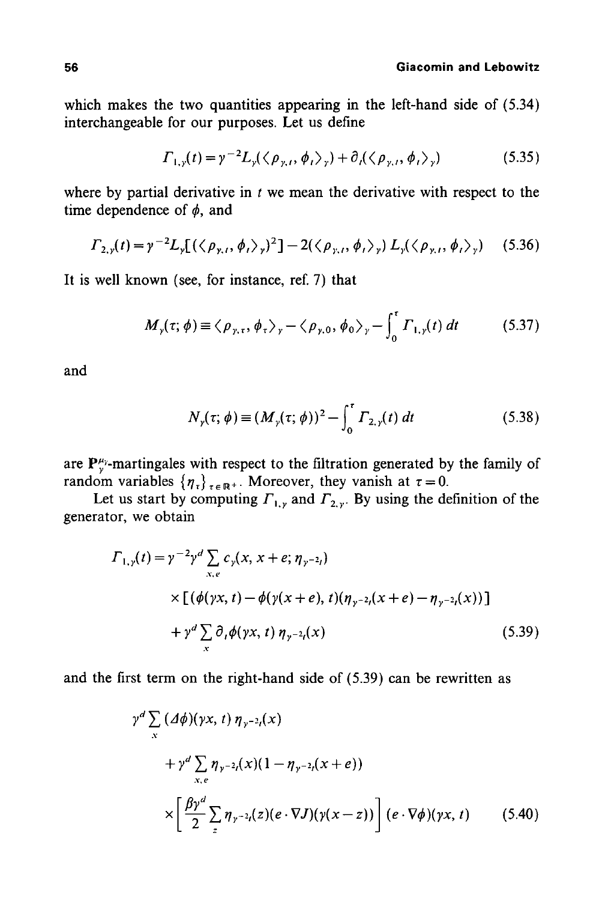which makes the two quantities appearing in the left-hand side of (5.34) interchangeable for our purposes. Let us define

$$
\Gamma_{1,\gamma}(t) = \gamma^{-2} L_{\gamma}(\langle \rho_{\gamma,t}, \phi_t \rangle_{\gamma}) + \partial_{\gamma}(\langle \rho_{\gamma,t}, \phi_t \rangle_{\gamma})
$$
(5.35)

where by partial derivative in  $t$  we mean the derivative with respect to the time dependence of  $\phi$ , and

$$
\Gamma_{2,y}(t) = \gamma^{-2} L_y \left[ \left( \left\langle \rho_{y,t}, \phi_t \right\rangle_y \right)^2 \right] - 2 \left( \left\langle \rho_{y,t}, \phi_t \right\rangle_y \right) L_y \left( \left\langle \rho_{y,t}, \phi_t \right\rangle_y \right) \tag{5.36}
$$

It is well known (see, for instance, ref. 7) that

$$
M_{\gamma}(\tau;\,\phi) \equiv \langle \rho_{\gamma,\tau},\,\phi_{\tau}\rangle_{\gamma} - \langle \rho_{\gamma,0},\,\phi_{0}\rangle_{\gamma} - \int_{0}^{\tau} \Gamma_{1,\gamma}(t) \,dt \tag{5.37}
$$

and

$$
N_{\gamma}(\tau;\,\phi) \equiv (M_{\gamma}(\tau;\,\phi))^2 - \int_0^{\tau} \Gamma_{2,\gamma}(t) \, dt \tag{5.38}
$$

are  $P^{\mu_{\gamma}}_{\gamma}$ -martingales with respect to the filtration generated by the family of random variables  $\{\eta_{\tau}\}_{\tau \in \mathbb{R}^+}$ . Moreover, they vanish at  $\tau = 0$ .

Let us start by computing  $F_{1,y}$  and  $F_{2,y}$ . By using the definition of the generator, we obtain

$$
\Gamma_{1,y}(t) = \gamma^{-2} \gamma^{d} \sum_{x,e} c_{y}(x, x+e; \eta_{y^{-2}t})
$$
\n
$$
\times \left[ (\phi(\gamma x, t) - \phi(\gamma(x+e), t)(\eta_{y^{-2}}(x+e) - \eta_{y^{-2}t}(x)) \right]
$$
\n
$$
+ \gamma^{d} \sum_{x} \partial_{t} \phi(\gamma x, t) \eta_{y^{-2}t}(x) \tag{5.39}
$$

and the first term on the right-hand side of (5.39) can be rewritten as

$$
\gamma^{d} \sum_{x} (\Delta \phi)(\gamma x, t) \eta_{\gamma^{-2}t}(x)
$$
  
+ 
$$
\gamma^{d} \sum_{x,e} \eta_{\gamma^{-2}t}(x) (1 - \eta_{\gamma^{-2}t}(x + e))
$$
  

$$
\times \left[ \frac{\beta \gamma^{d}}{2} \sum_{z} \eta_{\gamma^{-2}t}(z) (e \cdot \nabla J)(\gamma(x - z)) \right] (e \cdot \nabla \phi)(\gamma x, t) \qquad (5.40)
$$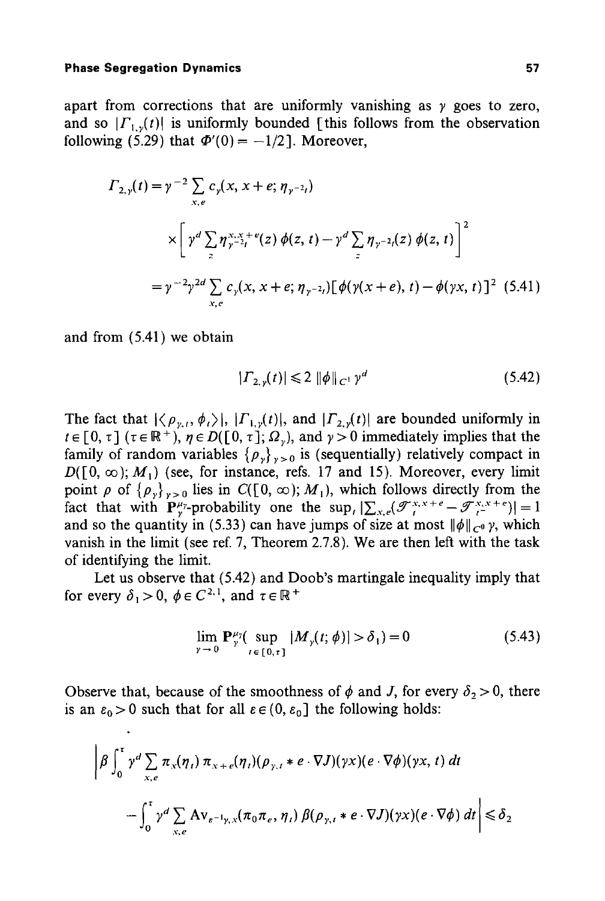apart from corrections that are uniformly vanishing as  $\gamma$  goes to zero, and so  $|\Gamma_{1}$ <sub>v</sub>(t) is uniformly bounded [this follows from the observation following (5.29) that  $\Phi'(0) = -1/2$ . Moreover,

$$
\Gamma_{2,y}(t) = \gamma^{-2} \sum_{x,e} c_{y}(x, x+e; \eta_{y^{-2}t})
$$
\n
$$
\times \left[ \gamma^{d} \sum_{z} \eta_{y^{-2}t}^{x,y+e}(z) \phi(z,t) - \gamma^{d} \sum_{z} \eta_{y^{-2}t}(z) \phi(z,t) \right]^{2}
$$
\n
$$
= \gamma^{-2} \gamma^{2d} \sum_{x,e} c_{y}(x, x+e; \eta_{y^{-2}t}) \left[ \phi(\gamma(x+e), t) - \phi(\gamma x, t) \right]^{2} (5.41)
$$

and from (5.41) we obtain

$$
|\Gamma_{2,y}(t)| \leq 2 \|\phi\|_{C^1} y^d \tag{5.42}
$$

The fact that  $|\langle \rho_{y,t}, \phi_t \rangle|$ ,  $|F_{1,y}(t)|$ , and  $|F_{2,y}(t)|$  are bounded uniformly in  $t \in [0, \tau]$  ( $\tau \in \mathbb{R}^+$ ),  $\eta \in D([0, \tau]; \Omega_{\nu})$ , and  $\gamma > 0$  immediately implies that the family of random variables  $\{\rho_{y}\}_{y>0}$  is (sequentially) relatively compact in  $D([0, \infty); M_1)$  (see, for instance, refs. 17 and 15). Moreover, every limit point  $\rho$  of  $\{\rho_v\}_{v>0}$  lies in  $C([0, \infty); M_1)$ , which follows directly from the fact that with  $\mathbf{P}_{\gamma}^{\mu_{\gamma}}$ -probability one the sup,  $|\sum_{x,e}(\mathscr{T}_{i}^{x,x+e}-\mathscr{T}_{i}^{x,x+e})|=1$ and so the quantity in (5.33) can have jumps of size at most  $\|\phi\|_{C^0}$   $\gamma$ , which vanish in the limit (see ref. 7, Theorem 2.7.8). We are then left with the task of identifying the limit.

Let us observe that (5.42) and Doob's martingale inequality imply that for every  $\delta_1 > 0$ ,  $\phi \in C^{2,1}$ , and  $\tau \in \mathbb{R}^+$ 

$$
\lim_{\gamma \to 0} \mathbf{P}_{\gamma}^{\mu_{\gamma}}(\sup_{t \in [0,\tau]} |M_{\gamma}(t; \phi)| > \delta_1) = 0 \tag{5.43}
$$

Observe that, because of the smoothness of  $\phi$  and J, for every  $\delta_2 > 0$ , there is an  $\varepsilon_0 > 0$  such that for all  $\varepsilon \in (0, \varepsilon_0]$  the following holds:

$$
\left| \beta \int_0^{\tau} \gamma^d \sum_{x,e} \pi_x(\eta_t) \pi_{x+e}(\eta_t) (\rho_{y,t} * e \cdot \nabla J)(\gamma x) (e \cdot \nabla \phi)(\gamma x, t) dt \right|
$$
  

$$
- \int_0^{\tau} \gamma^d \sum_{x,e} \mathbf{A} \mathbf{v}_{e^{-1}y,x} (\pi_0 \pi_e, \eta_t) \beta(\rho_{y,t} * e \cdot \nabla J)(\gamma x) (e \cdot \nabla \phi) dt \right| \le \delta_2
$$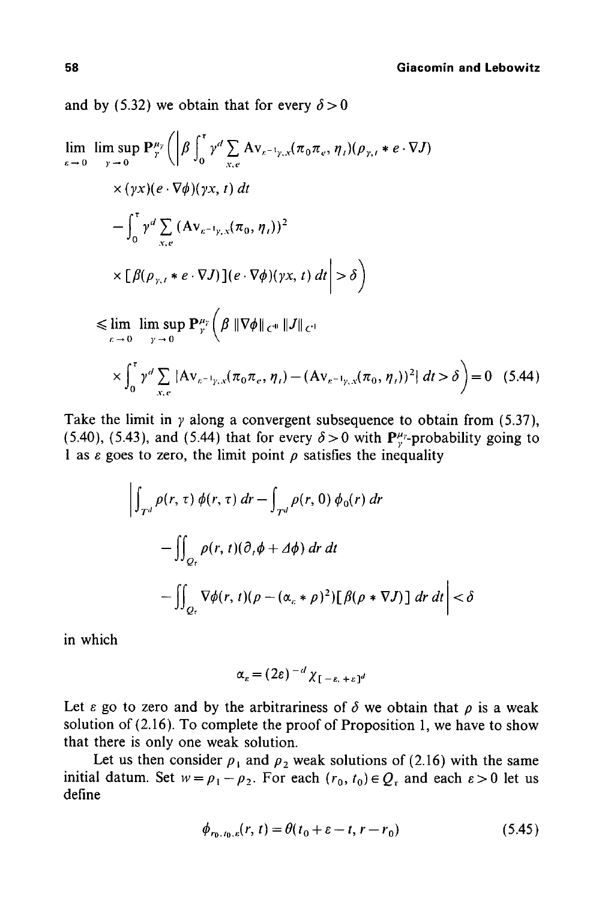and by (5.32) we obtain that for every  $\delta > 0$ 

$$
\lim_{\varepsilon \to 0} \lim_{y \to 0} \sup P_{y}^{\mu_{y}} \left( \left| \beta \int_{0}^{\tau} \gamma^{d} \sum_{x,e} Av_{\varepsilon^{-1}y,x} (\pi_{0} \pi_{e}, \eta_{t}) (\rho_{y,t} * e \cdot \nabla J) \right| \right. \times (\gamma x)(e \cdot \nabla \phi)(\gamma x, t) dt
$$
\n
$$
- \int_{0}^{\tau} \gamma^{d} \sum_{x,e} (Av_{\varepsilon^{-1}y,x} (\pi_{0}, \eta_{t}))^{2} \times [\beta(\rho_{y,t} * e \cdot \nabla J)] (e \cdot \nabla \phi)(\gamma x, t) dt \right| > \delta
$$
\n
$$
\leq \lim_{\varepsilon \to 0} \lim_{y \to 0} \sup P_{y}^{\mu_{y}} \left( \beta \|\nabla \phi\|_{C^{0}} \|J\|_{C^{1}} \right)
$$
\n
$$
\times \int_{0}^{\tau} \gamma^{d} \sum_{x,e} |Av_{\varepsilon^{-1}y,x} (\pi_{0} \pi_{e}, \eta_{t}) - (Av_{\varepsilon^{-1}y,x} (\pi_{0}, \eta_{t}))^{2} | dt > \delta \Big) = 0 \quad (5.44)
$$

Take the limit in  $\gamma$  along a convergent subsequence to obtain from (5.37), (5.40), (5.43), and (5.44) that for every  $\delta > 0$  with  $P_{y}^{\mu_{y}}$ -probability going to 1 as  $\varepsilon$  goes to zero, the limit point  $\rho$  satisfies the inequality

$$
\left| \int_{T^d} \rho(r, \tau) \phi(r, \tau) dr - \int_{T^d} \rho(r, 0) \phi_0(r) dr \right|
$$
  

$$
- \iint_{Q_r} \rho(r, t) (\partial_r \phi + \Delta \phi) dr dt
$$
  

$$
- \iint_{Q_r} \nabla \phi(r, t) (\rho - (\alpha_r * \rho)^2) [\beta(\rho * \nabla J)] dr dt \right| < \delta
$$

in which

$$
\alpha_{\varepsilon} = (2\varepsilon)^{-d} \chi_{[-\varepsilon, +\varepsilon]^d}
$$

Let  $\varepsilon$  go to zero and by the arbitrariness of  $\delta$  we obtain that  $\rho$  is a weak solution of (2.16). To complete the proof of Proposition 1, we have to show that there is only one weak solution.

Let us then consider  $\rho_1$  and  $\rho_2$  weak solutions of (2.16) with the same initial datum. Set  $w = \rho_1 - \rho_2$ . For each  $(r_0, t_0) \in Q_r$  and each  $\varepsilon > 0$  let us define

$$
\phi_{r_0, t_0, \varepsilon}(r, t) = \theta(t_0 + \varepsilon - t, r - r_0)
$$
\n(5.45)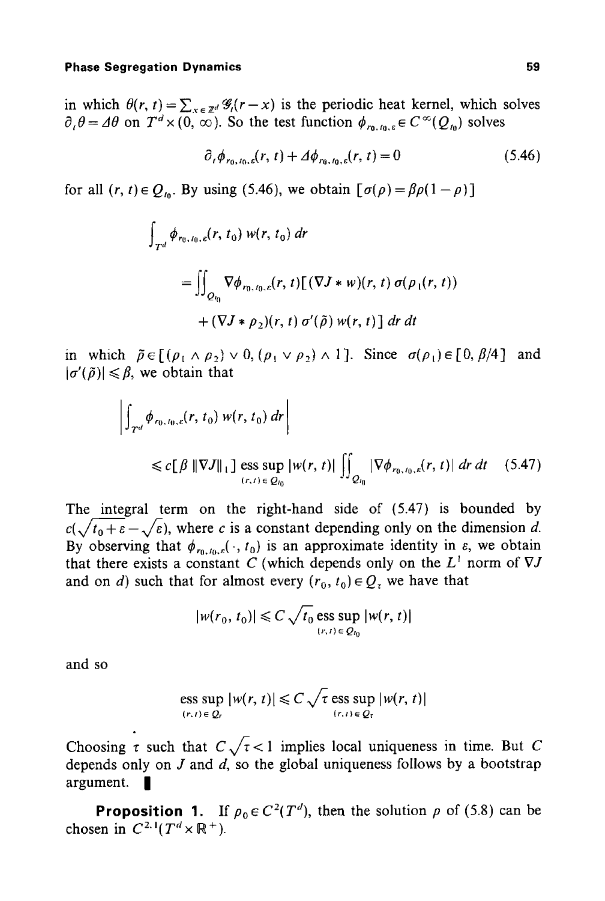#### **Phase Segregation Dynamics** 69 **59 1999 1999 1999 1999 1999 1999 1999 1999 1999 1999 1999 1999 1999 1999 1999 1999 1999 1999 1999 1999 1999 1999 1999 1999 1999 1999 19**

in which  $\theta(r, t) = \sum_{x \in \mathbb{Z}^d} \mathcal{G}_t(r-x)$  is the periodic heat kernel, which solves  $\partial_{\nu} \theta = \Delta \theta$  on  $T^d \times (0, \infty)$ . So the test function  $\phi_{r_0, t_0, \varepsilon} \in C^{\infty}(Q_{t_0})$  solves

$$
\partial_{t} \phi_{r_{0},t_{0},\varepsilon}(r,t) + \Delta \phi_{r_{0},t_{0},\varepsilon}(r,t) = 0 \tag{5.46}
$$

for all  $(r, t) \in Q_{t_0}$ . By using (5.46), we obtain  $[\sigma(\rho) = \beta \rho(1-\rho)]$ 

$$
\int_{T^d} \phi_{r_0,t_0,\varepsilon}(r, t_0) w(r, t_0) dr
$$
\n
$$
= \iint_{Q_{t_0}} \nabla \phi_{r_0,t_0,\varepsilon}(r, t) \left[ (\nabla J * w)(r, t) \sigma(\rho_1(r, t)) + (\nabla J * \rho_2)(r, t) \sigma'(\tilde{\rho}) w(r, t) \right] dr dt
$$

in which  $\tilde{\rho} \in [(\rho_1 \wedge \rho_2) \vee 0, (\rho_1 \vee \rho_2) \wedge 1]$ . Since  $\sigma(\rho_1) \in [0, \beta/4]$  and  $|\sigma'(\tilde{\rho})| \leq \beta$ , we obtain that

$$
\left| \int_{T^{d}} \phi_{r_{0}, t_{0}, \varepsilon}(r, t_{0}) w(r, t_{0}) dr \right|
$$
  
  $\leq c \left[ \beta ||\nabla J||_{1} \right] \underset{(r, t) \in \mathcal{Q}_{t_{0}}}{\text{ess sup}} |w(r, t)| \iint_{\mathcal{Q}_{t_{0}}} |\nabla \phi_{r_{0}, t_{0}, \varepsilon}(r, t)| dr dt$  (5.47)

The integral term on the right-hand side of (5.47) is bounded by  $c(\sqrt{t_0 + \varepsilon} - \sqrt{\varepsilon})$ , where c is a constant depending only on the dimension d. By observing that  $\phi_{r_0,\mu,c}(\cdot, t_0)$  is an approximate identity in  $\varepsilon$ , we obtain that there exists a constant  $\tilde{C}$  (which depends only on the  $L^1$  norm of  $\nabla J$ and on d) such that for almost every  $(r_0, t_0) \in Q_\tau$  we have that

$$
|w(r_0, t_0)| \leqslant C \sqrt{t_0} \mathop{\rm ess \; sup}_{(r, t) \in \mathcal{Q}_{t_0}} |w(r, t)|
$$

and so

ess sup 
$$
|w(r, t)| \leq C \sqrt{\tau}
$$
ess sup  $|w(r, t)|$   
\n $\lim_{(r,t)\in Q_r} |w(r, t)|$ 

Choosing  $\tau$  such that  $C \sqrt{\tau} < 1$  implies local uniqueness in time. But C depends only on  $J$  and  $d$ , so the global uniqueness follows by a bootstrap argument.  $\blacksquare$ 

**Proposition 1.** If  $\rho_0 \in C^2(T^d)$ , then the solution  $\rho$  of (5.8) can be chosen in  $C^{2,1}(T^d \times \mathbb{R}^+).$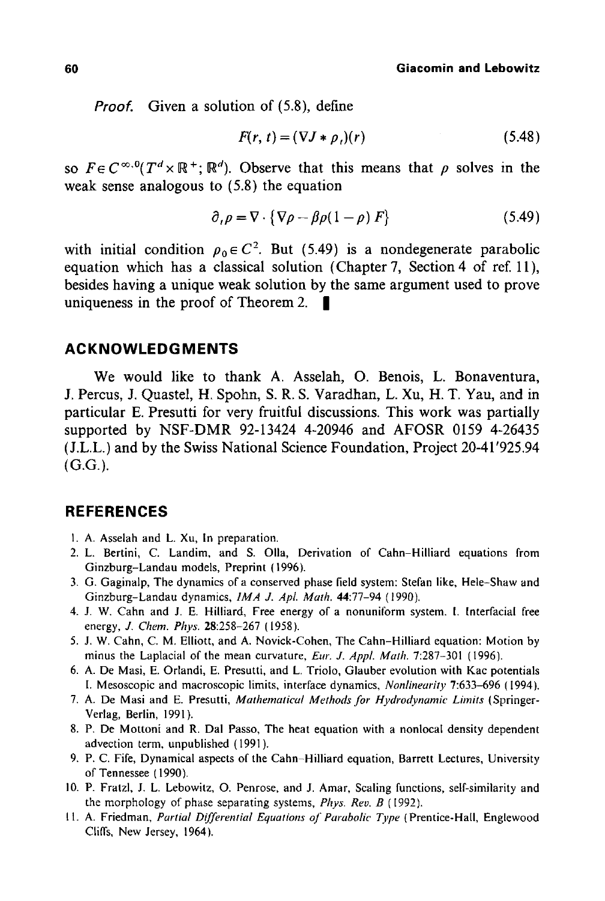*Proof.* Given a solution of (5.8), define

$$
F(r, t) = (\nabla J * \rho_t)(r) \tag{5.48}
$$

so  $F \in C^{\infty,0}(T^d \times \mathbb{R}^+; \mathbb{R}^d)$ . Observe that this means that  $\rho$  solves in the weak sense analogous to (5.8) the equation

$$
\partial_{\iota}\rho = \nabla \cdot \{ \nabla \rho - \beta \rho (1 - \rho) F \}
$$
 (5.49)

with initial condition  $p_0 \in C^2$ . But (5.49) is a nondegenerate parabolic equation which has a classical solution (Chapter 7, Section 4 of ref. 11), besides having a unique weak solution by the same argument used to prove uniqueness in the proof of Theorem 2.  $\blacksquare$ 

## **ACKNOWLEDGMENTS**

We would like to thank A. Asselah, O. Benois, L. Bonaventura, J. Percus, J. Quastel, H. Spohn, S. R. S. Varadhan, L. Xu, H. T. Yau, and in particular E. Presutti for very fruitful discussions. This work was partially supported by NSF-DMR 92-13424 4-20946 and AFOSR 0159 4-26435 (J.L.L.) and by the Swiss National Science Foundation, Project 20-41'925.94 (G.G.).

## **REFERENCES**

- 1. A. Asselah and L. Xu, In preparation.
- 2. L. Bertini, C. Landim, and S. Olla, Derivation of Cahn-Hilliard equations from Ginzburg-Landau models, Preprint (1996).
- 3. G. Gaginalp, The dynamics of a conserved phase field system: Stefan like, Hele-Shaw and Ginzburg-Landau dynamics, *1MA J. ApL Math.* 44:77-94 (1990).
- 4. J. W. Cahn and J. E. HiUiard, Free energy of a nonuniform system. 1. Interfacial free energy, *J. Chem. Phys.* 28:258-267 (1958).
- 5. J. W. Cahn, C. M. Elliott, and A. Novick-Cohen, The Cahn-Hilliard equation: Motion by minus the Laplacial of the mean curvature, *Eur. J. Appl. Math.* 7:287-301 (1996).
- 6. A. De Masi, E. Orlandi, E. Presutti, and L. Triolo, Glauber evolution with Kac potentials I. Mesoscopic and macroscopic limits, interface dynamics, *Nonlinearity* 7:633-696 (1994).
- 7. A. De Masi and E. Presutti, *Mathematical Methods for Hydrodynamic Lhnits* (Springer-Verlag, Berlin, 1991).
- 8. P. De Mottoni and R. Dal Passo, The heat equation with a nonlocal density dependent advection term, unpublished ( 1991 ).
- 9. P. C. Fife, Dynamical aspects of the Cahn-Hilliard equation, Barrett Lectures, University of Tennessee (1990).
- 10. P. Fratzl, J. L. Lebowitz, O. Penrose, and J. Amar, Scaling functions, self-similarity and the morphology of phase separating systems, *Phys. Rev. B (1992).*
- I 1. A. Friedman, *Partial Differential Equations of Parabolic Type (* Prentice-Hail, Englewood Cliffs, New Jersey, 1964).